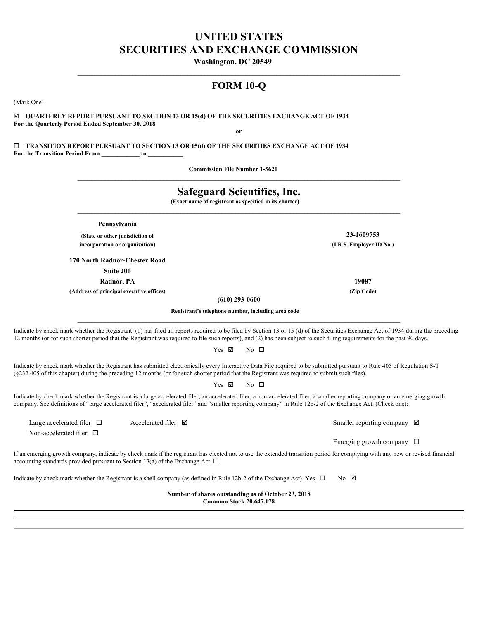# **UNITED STATES SECURITIES AND EXCHANGE COMMISSION**

**Washington, DC 20549** 

# **FORM 10-Q**

 $\mathcal{L}_\mathcal{L} = \mathcal{L}_\mathcal{L}$ 

(Mark One)

þ **QUARTERLY REPORT PURSUANT TO SECTION 13 OR 15(d) OF THE SECURITIES EXCHANGE ACT OF 1934 For the Quarterly Period Ended September 30, 2018 or**

¨ **TRANSITION REPORT PURSUANT TO SECTION 13 OR 15(d) OF THE SECURITIES EXCHANGE ACT OF 1934 For the Transition Period From \_\_\_\_\_\_\_\_\_\_\_\_ to \_\_\_\_\_\_\_\_\_\_\_**

**Commission File Number 1-5620** 

|                                                                |                                                                                     | <b>Safeguard Scientifics, Inc.</b><br>(Exact name of registrant as specified in its charter)                                                                                                                                                                                                                                                                                                                                                                                                                                                                                                                                                                                                                                                                                                                                                                                                                                                                                                                                                                                                                  |                                        |  |
|----------------------------------------------------------------|-------------------------------------------------------------------------------------|---------------------------------------------------------------------------------------------------------------------------------------------------------------------------------------------------------------------------------------------------------------------------------------------------------------------------------------------------------------------------------------------------------------------------------------------------------------------------------------------------------------------------------------------------------------------------------------------------------------------------------------------------------------------------------------------------------------------------------------------------------------------------------------------------------------------------------------------------------------------------------------------------------------------------------------------------------------------------------------------------------------------------------------------------------------------------------------------------------------|----------------------------------------|--|
|                                                                | Pennsylvania                                                                        |                                                                                                                                                                                                                                                                                                                                                                                                                                                                                                                                                                                                                                                                                                                                                                                                                                                                                                                                                                                                                                                                                                               |                                        |  |
|                                                                | (State or other jurisdiction of<br>incorporation or organization)                   |                                                                                                                                                                                                                                                                                                                                                                                                                                                                                                                                                                                                                                                                                                                                                                                                                                                                                                                                                                                                                                                                                                               | 23-1609753<br>(I.R.S. Employer ID No.) |  |
|                                                                | 170 North Radnor-Chester Road                                                       |                                                                                                                                                                                                                                                                                                                                                                                                                                                                                                                                                                                                                                                                                                                                                                                                                                                                                                                                                                                                                                                                                                               |                                        |  |
|                                                                | Suite 200                                                                           |                                                                                                                                                                                                                                                                                                                                                                                                                                                                                                                                                                                                                                                                                                                                                                                                                                                                                                                                                                                                                                                                                                               |                                        |  |
|                                                                | Radnor, PA                                                                          |                                                                                                                                                                                                                                                                                                                                                                                                                                                                                                                                                                                                                                                                                                                                                                                                                                                                                                                                                                                                                                                                                                               | 19087                                  |  |
|                                                                | (Address of principal executive offices)                                            | $(610)$ 293-0600                                                                                                                                                                                                                                                                                                                                                                                                                                                                                                                                                                                                                                                                                                                                                                                                                                                                                                                                                                                                                                                                                              | (Zip Code)                             |  |
|                                                                |                                                                                     | Registrant's telephone number, including area code                                                                                                                                                                                                                                                                                                                                                                                                                                                                                                                                                                                                                                                                                                                                                                                                                                                                                                                                                                                                                                                            |                                        |  |
|                                                                |                                                                                     | Indicate by check mark whether the Registrant: (1) has filed all reports required to be filed by Section 13 or 15 (d) of the Securities Exchange Act of 1934 during the preceding<br>12 months (or for such shorter period that the Registrant was required to file such reports), and (2) has been subject to such filing requirements for the past 90 days.<br>Yes $\boxtimes$<br>No $\square$<br>Indicate by check mark whether the Registrant has submitted electronically every Interactive Data File required to be submitted pursuant to Rule 405 of Regulation S-T<br>(§232.405 of this chapter) during the preceding 12 months (or for such shorter period that the Registrant was required to submit such files).<br>$Yes \n\boxtimes$<br>$No$ $\Box$<br>Indicate by check mark whether the Registrant is a large accelerated filer, an accelerated filer, a non-accelerated filer, a smaller reporting company or an emerging growth<br>company. See definitions of "large accelerated filer", "accelerated filer" and "smaller reporting company" in Rule 12b-2 of the Exchange Act. (Check one): |                                        |  |
| Large accelerated filer $\Box$<br>Non-accelerated filer $\Box$ | Accelerated filer $\boxtimes$                                                       |                                                                                                                                                                                                                                                                                                                                                                                                                                                                                                                                                                                                                                                                                                                                                                                                                                                                                                                                                                                                                                                                                                               | Smaller reporting company $\boxtimes$  |  |
|                                                                |                                                                                     |                                                                                                                                                                                                                                                                                                                                                                                                                                                                                                                                                                                                                                                                                                                                                                                                                                                                                                                                                                                                                                                                                                               | Emerging growth company $\Box$         |  |
|                                                                | accounting standards provided pursuant to Section 13(a) of the Exchange Act. $\Box$ | If an emerging growth company, indicate by check mark if the registrant has elected not to use the extended transition period for complying with any new or revised financial                                                                                                                                                                                                                                                                                                                                                                                                                                                                                                                                                                                                                                                                                                                                                                                                                                                                                                                                 |                                        |  |
|                                                                |                                                                                     | Indicate by check mark whether the Registrant is a shell company (as defined in Rule 12b-2 of the Exchange Act). Yes $\Box$                                                                                                                                                                                                                                                                                                                                                                                                                                                                                                                                                                                                                                                                                                                                                                                                                                                                                                                                                                                   | $\overline{N}$ $\overline{\omega}$     |  |
|                                                                |                                                                                     | Number of shares outstanding as of October 23, 2018<br><b>Common Stock 20,647,178</b>                                                                                                                                                                                                                                                                                                                                                                                                                                                                                                                                                                                                                                                                                                                                                                                                                                                                                                                                                                                                                         |                                        |  |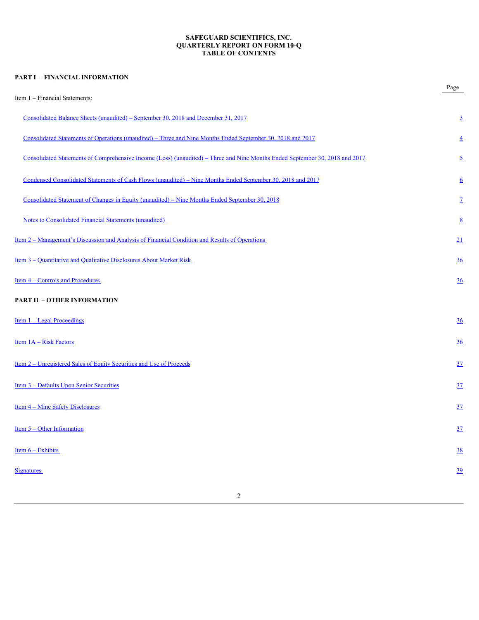## **SAFEGUARD SCIENTIFICS, INC. QUARTERLY REPORT ON FORM 10-Q TABLE OF CONTENTS**

| <b>PART I - FINANCIAL INFORMATION</b>                                                                                        |                  |
|------------------------------------------------------------------------------------------------------------------------------|------------------|
| Item 1 - Financial Statements:                                                                                               | Page             |
| Consolidated Balance Sheets (unaudited) – September 30, 2018 and December 31, 2017                                           | $\overline{3}$   |
| Consolidated Statements of Operations (unaudited) – Three and Nine Months Ended September 30, 2018 and 2017                  | $\overline{4}$   |
| Consolidated Statements of Comprehensive Income (Loss) (unaudited) – Three and Nine Months Ended September 30, 2018 and 2017 | $\overline{2}$   |
| Condensed Consolidated Statements of Cash Flows (unaudited) - Nine Months Ended September 30, 2018 and 2017                  | $6\overline{6}$  |
| Consolidated Statement of Changes in Equity (unaudited) – Nine Months Ended September 30, 2018                               | $\mathbf{Z}$     |
| <b>Notes to Consolidated Financial Statements (unaudited)</b>                                                                | $8\overline{8}$  |
| <u>Item 2 – Management's Discussion and Analysis of Financial Condition and Results of Operations</u>                        | 21               |
| Item 3 – Quantitative and Qualitative Disclosures About Market Risk                                                          | $\frac{36}{5}$   |
| Item 4 - Controls and Procedures                                                                                             | $\frac{36}{5}$   |
| <b>PART II - OTHER INFORMATION</b>                                                                                           |                  |
| Item 1 - Legal Proceedings                                                                                                   | $\frac{36}{5}$   |
| Item 1A - Risk Factors                                                                                                       | $\frac{36}{5}$   |
| <u>Item 2 – Unregistered Sales of Equity Securities and Use of Proceeds</u>                                                  | $\frac{37}{2}$   |
| Item 3 - Defaults Upon Senior Securities                                                                                     | 37               |
| <u>Item 4 – Mine Safety Disclosures</u>                                                                                      | 37               |
| Item $5 -$ Other Information                                                                                                 | 37               |
| Item $6 -$ Exhibits                                                                                                          | $\underline{38}$ |
| <b>Signatures</b>                                                                                                            | $\underline{39}$ |
| 2                                                                                                                            |                  |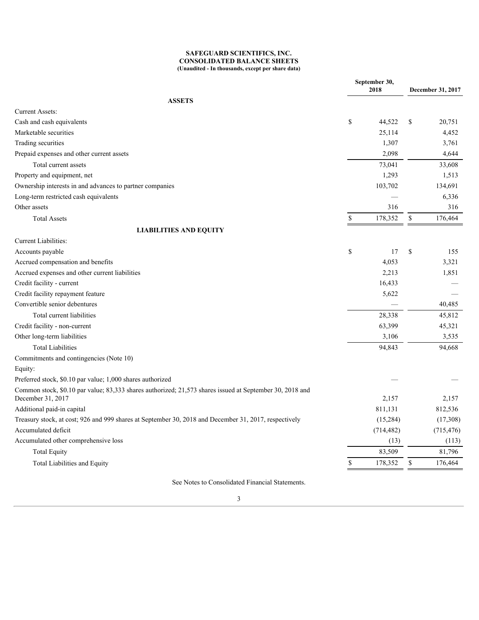### **SAFEGUARD SCIENTIFICS, INC. CONSOLIDATED BALANCE SHEETS (Unaudited - In thousands, except per share data)**

<span id="page-2-0"></span>

|                                                                                                          |              | September 30,<br>2018    |              | December 31, 2017        |
|----------------------------------------------------------------------------------------------------------|--------------|--------------------------|--------------|--------------------------|
| <b>ASSETS</b>                                                                                            |              |                          |              |                          |
| <b>Current Assets:</b>                                                                                   |              |                          |              |                          |
| Cash and cash equivalents                                                                                | $\mathbb{S}$ | 44,522                   | $\mathbf{s}$ | 20,751                   |
| Marketable securities                                                                                    |              | 25,114                   |              | 4,452                    |
| Trading securities                                                                                       |              | 1,307                    |              | 3,761                    |
| Prepaid expenses and other current assets                                                                |              | 2,098                    |              | 4,644                    |
| Total current assets                                                                                     |              | 73,041                   |              | 33,608                   |
| Property and equipment, net                                                                              |              | 1,293                    |              | 1,513                    |
| Ownership interests in and advances to partner companies                                                 |              | 103,702                  |              | 134,691                  |
| Long-term restricted cash equivalents                                                                    |              |                          |              | 6,336                    |
| Other assets                                                                                             |              | 316                      |              | 316                      |
| <b>Total Assets</b>                                                                                      | S.           | 178,352                  | <sup>S</sup> | 176,464                  |
| <b>LIABILITIES AND EQUITY</b>                                                                            |              |                          |              |                          |
| Current Liabilities:                                                                                     |              |                          |              |                          |
| Accounts payable                                                                                         | $\mathbb{S}$ | 17S                      |              | 155                      |
| Accrued compensation and benefits                                                                        |              | 4,053                    |              | 3,321                    |
| Accrued expenses and other current liabilities                                                           |              | 2,213                    |              | 1,851                    |
| Credit facility - current                                                                                |              | 16,433                   |              | $\overline{\phantom{0}}$ |
| Credit facility repayment feature                                                                        |              | 5,622                    |              |                          |
| Convertible senior debentures                                                                            |              | $\overline{\phantom{m}}$ |              | 40,485                   |
| Total current liabilities                                                                                |              | 28,338                   |              | 45,812                   |
| Credit facility - non-current                                                                            |              | 63,399                   |              | 45,321                   |
| Other long-term liabilities                                                                              |              | 3,106                    |              | 3,535                    |
| <b>Total Liabilities</b>                                                                                 |              | 94,843                   |              | 94,668                   |
| Commitments and contingencies (Note 10)                                                                  |              |                          |              |                          |
| Equity:                                                                                                  |              |                          |              |                          |
| Preferred stock, \$0.10 par value; 1,000 shares authorized                                               |              |                          |              |                          |
| Common stock, \$0.10 par value; 83,333 shares authorized; 21,573 shares issued at September 30, 2018 and |              |                          |              |                          |
| December 31, 2017                                                                                        |              | 2,157                    |              | 2,157                    |
| Additional paid-in capital                                                                               |              | 811,131                  |              | 812,536                  |
| Treasury stock, at cost; 926 and 999 shares at September 30, 2018 and December 31, 2017, respectively    |              | (15,284)                 |              | (17,308)                 |
| Accumulated deficit                                                                                      |              | (714, 482)               |              | (715, 476)               |
| Accumulated other comprehensive loss                                                                     |              | (13)                     |              | (113)                    |
| <b>Total Equity</b>                                                                                      |              | 83,509                   |              | 81,796                   |
| Total Liabilities and Equity                                                                             |              | 178,352                  | $\mathbb{S}$ | 176,464                  |
|                                                                                                          |              |                          |              |                          |

See Notes to Consolidated Financial Statements.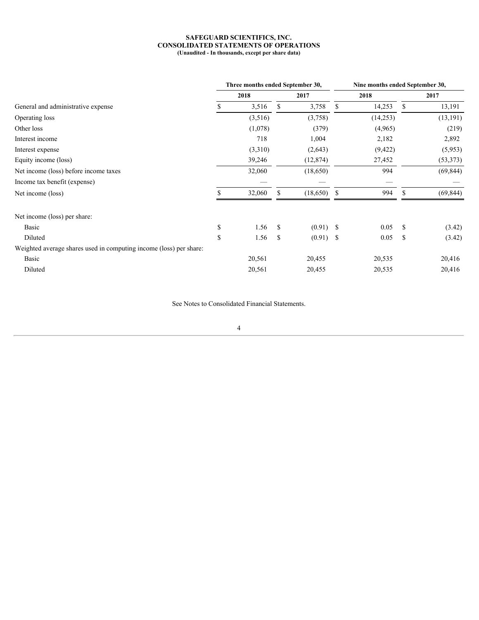#### **SAFEGUARD SCIENTIFICS, INC. CONSOLIDATED STATEMENTS OF OPERATIONS (Unaudited - In thousands, except per share data)**

<span id="page-3-0"></span>

| Three months ended September 30, |      | Nine months ended September 30,      |                                                    |               |                   |  |  |
|----------------------------------|------|--------------------------------------|----------------------------------------------------|---------------|-------------------|--|--|
|                                  |      | 2017                                 | 2018                                               |               | 2017              |  |  |
|                                  |      | 3,758                                | 14,253                                             | -S            | 13,191            |  |  |
| (3,516)                          |      | (3,758)                              | (14,253)                                           |               | (13, 191)         |  |  |
| (1,078)                          |      | (379)                                | (4,965)                                            |               | (219)             |  |  |
| 718                              |      | 1,004                                | 2,182                                              |               | 2,892             |  |  |
| (3,310)                          |      | (2,643)                              | (9, 422)                                           |               | (5,953)           |  |  |
| 39,246                           |      | (12, 874)                            | 27,452                                             |               | (53, 373)         |  |  |
| 32,060                           |      | (18,650)                             | 994                                                |               | (69, 844)         |  |  |
|                                  |      |                                      | $\overline{\phantom{m}}$                           |               | $\hspace{0.05cm}$ |  |  |
| 32,060                           |      |                                      | 994                                                | - S           | (69, 844)         |  |  |
|                                  |      |                                      |                                                    |               |                   |  |  |
|                                  |      |                                      |                                                    | -S            | (3.42)            |  |  |
|                                  |      |                                      | 0.05                                               | <sup>\$</sup> | (3.42)            |  |  |
|                                  |      |                                      |                                                    |               |                   |  |  |
| 20,561                           |      | 20,455                               | 20,535                                             |               | 20,416            |  |  |
| 20,561                           |      | 20,455                               | 20,535                                             |               | 20,416            |  |  |
|                                  | 2018 | $3,516$ \$<br>$1.56$ \$<br>$1.56$ \$ | - S<br>$(18,650)$ \$<br>$(0.91)$ \$<br>$(0.91)$ \$ |               | 0.05              |  |  |

See Notes to Consolidated Financial Statements.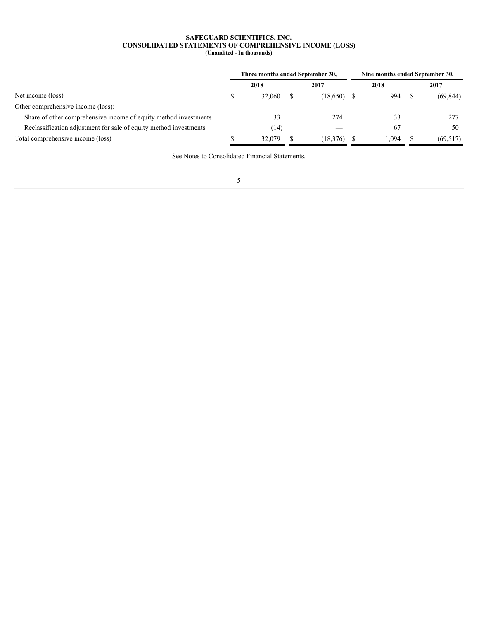#### **SAFEGUARD SCIENTIFICS, INC. CONSOLIDATED STATEMENTS OF COMPREHENSIVE INCOME (LOSS) (Unaudited - In thousands)**

<span id="page-4-0"></span>

|                                                                   | Three months ended September 30, |  |                                | Nine months ended September 30, |       |  |           |  |  |
|-------------------------------------------------------------------|----------------------------------|--|--------------------------------|---------------------------------|-------|--|-----------|--|--|
|                                                                   | 2018                             |  | 2017                           |                                 | 2018  |  | 2017      |  |  |
| Net income (loss)                                                 | 32,060                           |  | $(18,650)$ \$                  |                                 | 994   |  | (69, 844) |  |  |
| Other comprehensive income (loss):                                |                                  |  |                                |                                 |       |  |           |  |  |
| Share of other comprehensive income of equity method investments  | 33                               |  | 274                            |                                 | 33    |  | 277       |  |  |
| Reclassification adjustment for sale of equity method investments | (14)                             |  | $\overbrace{\hspace{25mm}}^{}$ |                                 | 67    |  | 50        |  |  |
| Total comprehensive income (loss)                                 | 32,079                           |  | $(18,376)$ \$                  |                                 | 1.094 |  | (69, 517) |  |  |
|                                                                   |                                  |  |                                |                                 |       |  |           |  |  |

See Notes to Consolidated Financial Statements.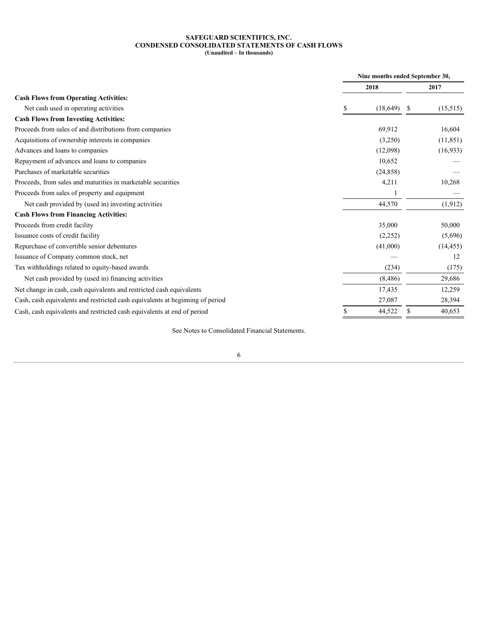#### **SAFEGUARD SCIENTIFICS, INC. CONDENSED CONSOLIDATED STATEMENTS OF CASH FLOWS (Unaudited – In thousands)**

<span id="page-5-0"></span>

|                                                                               | Nine months ended September 30, |           |  |  |
|-------------------------------------------------------------------------------|---------------------------------|-----------|--|--|
|                                                                               | 2018                            | 2017      |  |  |
| <b>Cash Flows from Operating Activities:</b>                                  |                                 |           |  |  |
| Net cash used in operating activities                                         | $(18,649)$ \$                   | (15,515)  |  |  |
| <b>Cash Flows from Investing Activities:</b>                                  |                                 |           |  |  |
| Proceeds from sales of and distributions from companies                       | 69,912                          | 16,604    |  |  |
| Acquisitions of ownership interests in companies                              | (3,250)                         | (11, 851) |  |  |
| Advances and loans to companies                                               | (12,098)                        | (16, 933) |  |  |
| Repayment of advances and loans to companies                                  | 10,652                          |           |  |  |
| Purchases of marketable securities                                            | (24, 858)                       |           |  |  |
| Proceeds, from sales and maturities in marketable securities                  | 4,211                           | 10,268    |  |  |
| Proceeds from sales of property and equipment                                 |                                 |           |  |  |
| Net cash provided by (used in) investing activities                           | 44,570                          | (1, 912)  |  |  |
| <b>Cash Flows from Financing Activities:</b>                                  |                                 |           |  |  |
| Proceeds from credit facility                                                 | 35,000                          | 50,000    |  |  |
| Issuance costs of credit facility                                             | (2,252)                         | (5,696)   |  |  |
| Repurchase of convertible senior debentures                                   | (41,000)                        | (14, 455) |  |  |
| Issuance of Company common stock, net                                         | $\hspace{0.05cm}$               | 12        |  |  |
| Tax withholdings related to equity-based awards                               | (234)                           | (175)     |  |  |
| Net cash provided by (used in) financing activities                           | (8, 486)                        | 29,686    |  |  |
| Net change in cash, cash equivalents and restricted cash equivalents          | 17,435                          | 12,259    |  |  |
| Cash, cash equivalents and restricted cash equivalents at beginning of period | 27,087                          | 28,394    |  |  |
| Cash, cash equivalents and restricted cash equivalents at end of period       | 44,522<br>- S                   | 40,653    |  |  |
|                                                                               |                                 |           |  |  |

See Notes to Consolidated Financial Statements.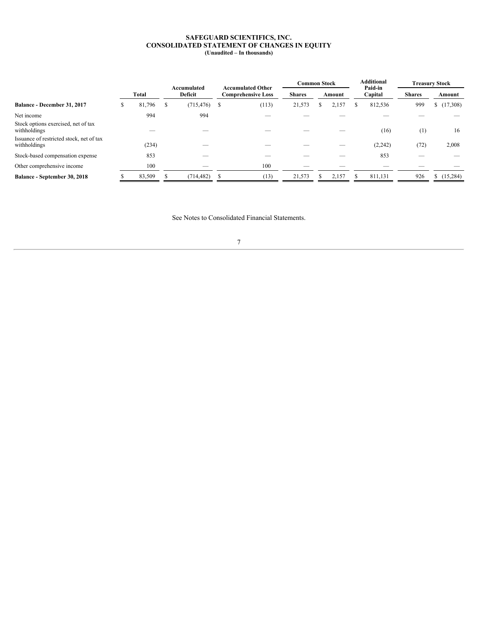#### **SAFEGUARD SCIENTIFICS, INC. CONSOLIDATED STATEMENT OF CHANGES IN EQUITY (Unaudited – In thousands)**

<span id="page-6-0"></span>

|                                                          |        |                        |                   |                                                       |                                 | <b>Common Stock</b> |                   |  | Additional                      |                                | <b>Treasury Stock</b> |  |
|----------------------------------------------------------|--------|------------------------|-------------------|-------------------------------------------------------|---------------------------------|---------------------|-------------------|--|---------------------------------|--------------------------------|-----------------------|--|
|                                                          | Total  | Accumulated<br>Deficit |                   | <b>Accumulated Other</b><br><b>Comprehensive Loss</b> | <b>Shares</b>                   |                     | Amount            |  | Paid-in<br>Capital              | <b>Shares</b>                  | Amount                |  |
| Balance - December 31, 2017                              | 81,796 |                        | $(715, 476)$ \$   | (113)                                                 | 21,573                          |                     | 2,157             |  | 812,536                         | 999                            | (17,308)              |  |
| Net income                                               | 994    |                        | 994               | $\overbrace{\phantom{12332}}$                         | _                               |                     | _                 |  |                                 |                                | _                     |  |
| Stock options exercised, net of tax<br>withholdings      |        |                        |                   |                                                       | $\overline{\phantom{a}}$        |                     | $\hspace{0.05cm}$ |  | (16)                            | (1)                            | 16                    |  |
| Issuance of restricted stock, net of tax<br>withholdings | (234)  |                        | $\hspace{0.05cm}$ | $\hspace{0.05cm}$                                     | $\hspace{0.05cm}$               |                     |                   |  | (2, 242)                        | (72)                           | 2,008                 |  |
| Stock-based compensation expense                         | 853    |                        |                   |                                                       | _                               |                     |                   |  | 853                             | $\overbrace{\hspace{25mm}}^{}$ |                       |  |
| Other comprehensive income                               | 100    |                        |                   | 100                                                   | $\hspace{0.1mm}-\hspace{0.1mm}$ |                     | $\hspace{0.05cm}$ |  | $\hspace{0.1mm}-\hspace{0.1mm}$ |                                |                       |  |
| <b>Balance - September 30, 2018</b>                      | 83,509 |                        | (714, 482)        | (13)                                                  | 21,573                          |                     | 2,157             |  | 811,131                         | 926                            | (15,284)              |  |

See Notes to Consolidated Financial Statements.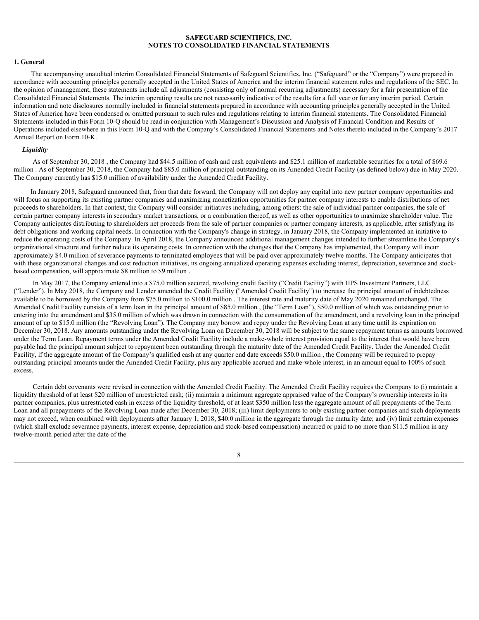#### <span id="page-7-0"></span>**1. General**

The accompanying unaudited interim Consolidated Financial Statements of Safeguard Scientifics, Inc. ("Safeguard" or the "Company") were prepared in accordance with accounting principles generally accepted in the United States of America and the interim financial statement rules and regulations of the SEC. In the opinion of management, these statements include all adjustments (consisting only of normal recurring adjustments) necessary for a fair presentation of the Consolidated Financial Statements. The interim operating results are not necessarily indicative of the results for a full year or for any interim period. Certain information and note disclosures normally included in financial statements prepared in accordance with accounting principles generally accepted in the United States of America have been condensed or omitted pursuant to such rules and regulations relating to interim financial statements. The Consolidated Financial Statements included in this Form 10-Q should be read in conjunction with Management's Discussion and Analysis of Financial Condition and Results of Operations included elsewhere in this Form 10-Q and with the Company's Consolidated Financial Statements and Notes thereto included in the Company's 2017 Annual Report on Form 10-K.

## *Liquidity*

As of September 30, 2018, the Company had \$44.5 million of cash and cash equivalents and \$25.1 million of marketable securities for a total of \$69.6 million . As of September 30, 2018, the Company had \$85.0 million of principal outstanding on its Amended Credit Facility (as defined below) due in May 2020. The Company currently has \$15.0 million of availability under the Amended Credit Facility.

In January 2018, Safeguard announced that, from that date forward, the Company will not deploy any capital into new partner company opportunities and will focus on supporting its existing partner companies and maximizing monetization opportunities for partner company interests to enable distributions of net proceeds to shareholders. In that context, the Company will consider initiatives including, among others: the sale of individual partner companies, the sale of certain partner company interests in secondary market transactions, or a combination thereof, as well as other opportunities to maximize shareholder value. The Company anticipates distributing to shareholders net proceeds from the sale of partner companies or partner company interests, as applicable, after satisfying its debt obligations and working capital needs. In connection with the Company's change in strategy, in January 2018, the Company implemented an initiative to reduce the operating costs of the Company. In April 2018, the Company announced additional management changes intended to further streamline the Company's organizational structure and further reduce its operating costs. In connection with the changes that the Company has implemented, the Company will incur approximately \$4.0 million of severance payments to terminated employees that will be paid over approximately twelve months. The Company anticipates that with these organizational changes and cost reduction initiatives, its ongoing annualized operating expenses excluding interest, depreciation, severance and stockbased compensation, will approximate \$8 million to \$9 million .

In May 2017, the Company entered into a \$75.0 million secured, revolving credit facility ("Credit Facility") with HPS Investment Partners, LLC ("Lender"). In May 2018, the Company and Lender amended the Credit Facility ("Amended Credit Facility") to increase the principal amount of indebtedness available to be borrowed by the Company from \$75.0 million to \$100.0 million . The interest rate and maturity date of May 2020 remained unchanged. The Amended Credit Facility consists of a term loan in the principal amount of \$85.0 million , (the "Term Loan"), \$50.0 million of which was outstanding prior to entering into the amendment and \$35.0 million of which was drawn in connection with the consummation of the amendment, and a revolving loan in the principal amount of up to \$15.0 million (the "Revolving Loan"). The Company may borrow and repay under the Revolving Loan at any time until its expiration on December 30, 2018. Any amounts outstanding under the Revolving Loan on December 30, 2018 will be subject to the same repayment terms as amounts borrowed under the Term Loan. Repayment terms under the Amended Credit Facility include a make-whole interest provision equal to the interest that would have been payable had the principal amount subject to repayment been outstanding through the maturity date of the Amended Credit Facility. Under the Amended Credit Facility, if the aggregate amount of the Company's qualified cash at any quarter end date exceeds \$50.0 million , the Company will be required to prepay outstanding principal amounts under the Amended Credit Facility, plus any applicable accrued and make-whole interest, in an amount equal to 100% of such excess.<br>Certain debt covenants were revised in connection with the Amended Credit Facility. The Amended Credit Facility requires the Company to (i) maintain a

liquidity threshold of at least \$20 million of unrestricted cash; (ii) maintain a minimum aggregate appraised value of the Company's ownership interests in its partner companies, plus unrestricted cash in excess of the liquidity threshold, of at least \$350 million less the aggregate amount of all prepayments of the Term Loan and all prepayments of the Revolving Loan made after December 30, 2018; (iii) limit deployments to only existing partner companies and such deployments may not exceed, when combined with deployments after January 1, 2018, \$40.0 million in the aggregate through the maturity date; and (iv) limit certain expenses (which shall exclude severance payments, interest expense, depreciation and stock-based compensation) incurred or paid to no more than \$11.5 million in any twelve-month period after the date of the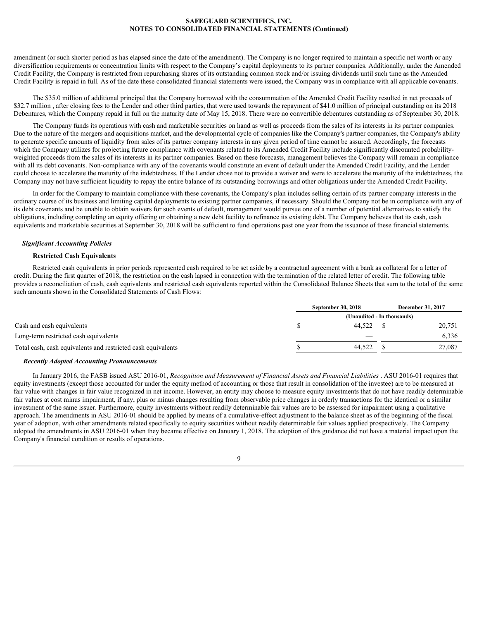amendment (or such shorter period as has elapsed since the date of the amendment). The Company is no longer required to maintain a specific net worth or any diversification requirements or concentration limits with respect to the Company's capital deployments to its partner companies. Additionally, under the Amended Credit Facility, the Company is restricted from repurchasing shares of its outstanding common stock and/or issuing dividends until such time as the Amended Credit Facility is repaid in full. As of the date these consolidated financial statements were issued, the Company was in compliance with all applicable covenants.

The \$35.0 million of additional principal that the Company borrowed with the consummation of the Amended Credit Facility resulted in net proceeds of \$32.7 million , after closing fees to the Lender and other third parties, that were used towards the repayment of \$41.0 million of principal outstanding on its 2018 Debentures, which the Company repaid in full on the maturity date of May 15, 2018. There were no convertible debentures outstanding as of September 30, 2018.

The Company funds its operations with cash and marketable securities on hand as well as proceeds from the sales of its interests in its partner companies. Due to the nature of the mergers and acquisitions market, and the developmental cycle of companies like the Company's partner companies, the Company's ability to generate specific amounts of liquidity from sales of its partner company interests in any given period of time cannot be assured. Accordingly, the forecasts which the Company utilizes for projecting future compliance with covenants related to its Amended Credit Facility include significantly discounted probabilityweighted proceeds from the sales of its interests in its partner companies. Based on these forecasts, management believes the Company will remain in compliance with all its debt covenants. Non-compliance with any of the covenants would constitute an event of default under the Amended Credit Facility, and the Lender could choose to accelerate the maturity of the indebtedness. If the Lender chose not to provide a waiver and were to accelerate the maturity of the indebtedness, the Company may not have sufficient liquidity to repay the entire balance of its outstanding borrowings and other obligations under the Amended Credit Facility.

In order for the Company to maintain compliance with these covenants, the Company's plan includes selling certain of its partner company interests in the ordinary course of its business and limiting capital deployments to existing partner companies, if necessary. Should the Company not be in compliance with any of its debt covenants and be unable to obtain waivers for such events of default, management would pursue one of a number of potential alternatives to satisfy the obligations, including completing an equity offering or obtaining a new debt facility to refinance its existing debt. The Company believes that its cash, cash equivalents and marketable securities at September 30, 2018 will be sufficient to fund operations past one year from the issuance of these financial statements.

#### *Significant Accounting Policies*

#### **Restricted Cash Equivalents**

Restricted cash equivalents in prior periods represented cash required to be set aside by a contractual agreement with a bank as collateral for a letter of credit. During the first quarter of 2018, the restriction on the cash lapsed in connection with the termination of the related letter of credit. The following table provides a reconciliation of cash, cash equivalents and restricted cash equivalents reported within the Consolidated Balance Sheets that sum to the total of the same such amounts shown in the Consolidated Statements of Cash Flows:

|                                                              | <b>September 30, 2018</b> | December 31, 2017          |        |  |  |
|--------------------------------------------------------------|---------------------------|----------------------------|--------|--|--|
|                                                              |                           | (Unaudited - In thousands) |        |  |  |
| Cash and cash equivalents                                    | 44,522                    |                            | 20,751 |  |  |
| Long-term restricted cash equivalents                        |                           |                            | 6,336  |  |  |
| Total cash, cash equivalents and restricted cash equivalents | 44,522                    |                            | 27,087 |  |  |
|                                                              |                           |                            |        |  |  |

#### *Recently Adopted Accounting Pronouncements*

In January 2016, the FASB issued ASU 2016-01, *Recognition and Measurement of Financial Assets and Financial Liabilities* . ASU 2016-01 requires that equity investments (except those accounted for under the equity method of accounting or those that result in consolidation of the investee) are to be measured at fair value with changes in fair value recognized in net income. However, an entity may choose to measure equity investments that do not have readily determinable fair values at cost minus impairment, if any, plus or minus changes resulting from observable price changes in orderly transactions for the identical or a similar investment of the same issuer. Furthermore, equity investments without readily determinable fair values are to be assessed for impairment using a qualitative approach. The amendments in ASU 2016-01 should be applied by means of a cumulative-effect adjustment to the balance sheet as of the beginning of the fiscal year of adoption, with other amendments related specifically to equity securities without readily determinable fair values applied prospectively. The Company adopted the amendments in ASU 2016-01 when they became effective on January 1, 2018. The adoption of this guidance did not have a material impact upon the Company's financial condition or results of operations.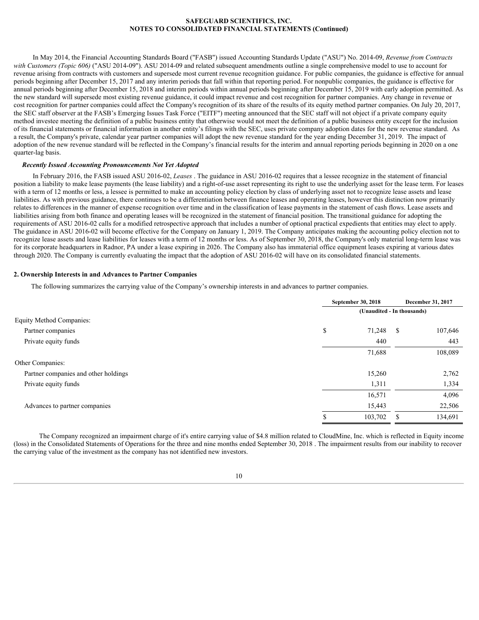In May 2014, the Financial Accounting Standards Board ("FASB") issued Accounting Standards Update ("ASU") No. 2014-09, *Revenue from Contracts* with Customers (Topic 606) ("ASU 2014-09"). ASU 2014-09 and related subsequent amendments outline a single comprehensive model to use to account for revenue arising from contracts with customers and supersede most current revenue recognition guidance. For public companies, the guidance is effective for annual periods beginning after December 15, 2017 and any interim periods that fall within that reporting period. For nonpublic companies, the guidance is effective for annual periods beginning after December 15, 2018 and interim periods within annual periods beginning after December 15, 2019 with early adoption permitted. As the new standard will supersede most existing revenue guidance, it could impact revenue and cost recognition for partner companies. Any change in revenue or cost recognition for partner companies could affect the Company's recognition of its share of the results of its equity method partner companies. On July 20, 2017, the SEC staff observer at the FASB's Emerging Issues Task Force ("EITF") meeting announced that the SEC staff will not object if a private company equity method investee meeting the definition of a public business entity that otherwise would not meet the definition of a public business entity except for the inclusion of its financial statements or financial information in another entity's filings with the SEC, uses private company adoption dates for the new revenue standard. As a result, the Company's private, calendar year partner companies will adopt the new revenue standard for the year ending December 31, 2019. The impact of adoption of the new revenue standard will be reflected in the Company's financial results for the interim and annual reporting periods beginning in 2020 on a one quarter-lag basis.

### *Recently Issued Accounting Pronouncements Not Yet Adopted*

In February 2016, the FASB issued ASU 2016-02, *Leases* . The guidance in ASU 2016-02 requires that a lessee recognize in the statement of financial position a liability to make lease payments (the lease liability) and a right-of-use asset representing its right to use the underlying asset for the lease term. For leases with a term of 12 months or less, a lessee is permitted to make an accounting policy election by class of underlying asset not to recognize lease assets and lease liabilities. As with previous guidance, there continues to be a differentiation between finance leases and operating leases, however this distinction now primarily relates to differences in the manner of expense recognition over time and in the classification of lease payments in the statement of cash flows. Lease assets and liabilities arising from both finance and operating leases will be recognized in the statement of financial position. The transitional guidance for adopting the requirements of ASU 2016-02 calls for a modified retrospective approach that includes a number of optional practical expedients that entities may elect to apply. The guidance in ASU 2016-02 will become effective for the Company on January 1, 2019. The Company anticipates making the accounting policy election not to recognize lease assets and lease liabilities for leases with a term of 12 months or less. As of September 30, 2018, the Company's only material long-term lease was for its corporate headquarters in Radnor, PA under a lease expiring in 2026. The Company also has immaterial office equipment leases expiring at various dates through 2020. The Company is currently evaluating the impact that the adoption of ASU 2016-02 will have on its consolidated financial statements.

#### **2. Ownership Interests in and Advances to Partner Companies**

The following summarizes the carrying value of the Company's ownership interests in and advances to partner companies.

|                                      | <b>September 30, 2018</b> | December 31, 2017          |  |  |
|--------------------------------------|---------------------------|----------------------------|--|--|
|                                      |                           | (Unaudited - In thousands) |  |  |
| <b>Equity Method Companies:</b>      |                           |                            |  |  |
| Partner companies                    | \$<br>71,248              | 107,646<br>-S              |  |  |
| Private equity funds                 | 440                       | 443                        |  |  |
|                                      | 71,688                    | 108,089                    |  |  |
| Other Companies:                     |                           |                            |  |  |
| Partner companies and other holdings | 15,260                    | 2,762                      |  |  |
| Private equity funds                 | 1,311                     | 1,334                      |  |  |
|                                      | 16,571                    | 4,096                      |  |  |
| Advances to partner companies        | 15,443                    | 22,506                     |  |  |
|                                      | 103,702                   | 134,691<br>-8              |  |  |
|                                      |                           |                            |  |  |

The Company recognized an impairment charge of it's entire carrying value of \$4.8 million related to CloudMine, Inc. which is reflected in Equity income (loss) in the Consolidated Statements of Operations for the three and nine months ended September 30, 2018 . The impairment results from our inability to recover the carrying value of the investment as the company has not identified new investors.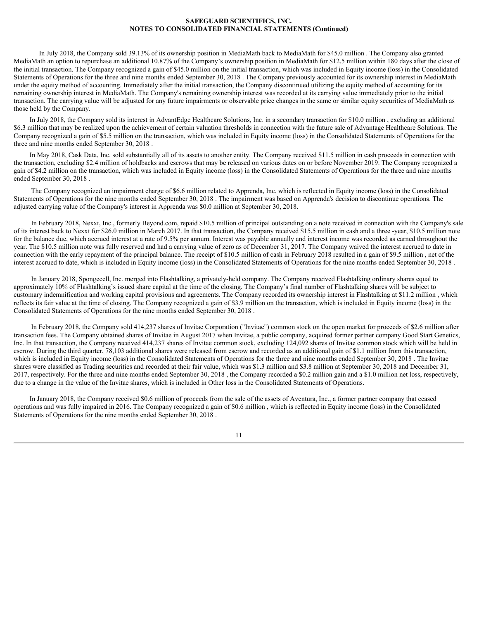In July 2018, the Company sold 39.13% of its ownership position in MediaMath back to MediaMath for \$45.0 million . The Company also granted MediaMath an option to repurchase an additional 10.87% of the Company's ownership position in MediaMath for \$12.5 million within 180 days after the close of the initial transaction. The Company recognized a gain of \$45.0 million on the initial transaction, which was included in Equity income (loss) in the Consolidated Statements of Operations for the three and nine months ended September 30, 2018 . The Company previously accounted for its ownership interest in MediaMath under the equity method of accounting. Immediately after the initial transaction, the Company discontinued utilizing the equity method of accounting for its remaining ownership interest in MediaMath. The Company's remaining ownership interest was recorded at its carrying value immediately prior to the initial transaction. The carrying value will be adjusted for any future impairments or observable price changes in the same or similar equity securities of MediaMath as those held by the Company.

In July 2018, the Company sold its interest in AdvantEdge Healthcare Solutions, Inc. in a secondary transaction for \$10.0 million , excluding an additional \$6.3 million that may be realized upon the achievement of certain valuation thresholds in connection with the future sale of Advantage Healthcare Solutions. The Company recognized a gain of \$5.5 million on the transaction, which was included in Equity income (loss) in the Consolidated Statements of Operations for the three and nine months ended September 30, 2018 .

In May 2018, Cask Data, Inc. sold substantially all of its assets to another entity. The Company received \$11.5 million in cash proceeds in connection with the transaction, excluding \$2.4 million of holdbacks and escrows that may be released on various dates on or before November 2019. The Company recognized a gain of \$4.2 million on the transaction, which was included in Equity income (loss) in the Consolidated Statements of Operations for the three and nine months ended September 30, 2018 .

The Company recognized an impairment charge of \$6.6 million related to Apprenda, Inc. which is reflected in Equity income (loss) in the Consolidated Statements of Operations for the nine months ended September 30, 2018 . The impairment was based on Apprenda's decision to discontinue operations. The adjusted carrying value of the Company's interest in Apprenda was \$0.0 million at September 30, 2018.

In February 2018, Nexxt, Inc., formerly Beyond.com, repaid \$10.5 million of principal outstanding on a note received in connection with the Company's sale of its interest back to Nexxt for \$26.0 million in March 2017. In that transaction, the Company received \$15.5 million in cash and a three -year, \$10.5 million note for the balance due, which accrued interest at a rate of 9.5% per annum. Interest was payable annually and interest income was recorded as earned throughout the year. The \$10.5 million note was fully reserved and had a carrying value of zero as of December 31, 2017. The Company waived the interest accrued to date in connection with the early repayment of the principal balance. The receipt of \$10.5 million of cash in February 2018 resulted in a gain of \$9.5 million , net of the interest accrued to date, which is included in Equity income (loss) in the Consolidated Statements of Operations for the nine months ended September 30, 2018 .

In January 2018, Spongecell, Inc. merged into Flashtalking, a privately-held company. The Company received Flashtalking ordinary shares equal to approximately 10% of Flashtalking's issued share capital at the time of the closing. The Company's final number of Flashtalking shares will be subject to customary indemnification and working capital provisions and agreements. The Company recorded its ownership interest in Flashtalking at \$11.2 million , which reflects its fair value at the time of closing. The Company recognized a gain of \$3.9 million on the transaction, which is included in Equity income (loss) in the Consolidated Statements of Operations for the nine months ended September 30, 2018 .

In February 2018, the Company sold 414,237 shares of Invitae Corporation ("Invitae") common stock on the open market for proceeds of \$2.6 million after transaction fees. The Company obtained shares of Invitae in August 2017 when Invitae, a public company, acquired former partner company Good Start Genetics, Inc. In that transaction, the Company received 414,237 shares of Invitae common stock, excluding 124,092 shares of Invitae common stock which will be held in escrow. During the third quarter, 78,103 additional shares were released from escrow and recorded as an additional gain of \$1.1 million from this transaction, which is included in Equity income (loss) in the Consolidated Statements of Operations for the three and nine months ended September 30, 2018 . The Invitae shares were classified as Trading securities and recorded at their fair value, which was \$1.3 million and \$3.8 million at September 30, 2018 and December 31, 2017, respectively. For the three and nine months ended September 30, 2018 , the Company recorded a \$0.2 million gain and a \$1.0 million net loss, respectively, due to a change in the value of the Invitae shares, which is included in Other loss in the Consolidated Statements of Operations.

In January 2018, the Company received \$0.6 million of proceeds from the sale of the assets of Aventura, Inc., a former partner company that ceased operations and was fully impaired in 2016. The Company recognized a gain of \$0.6 million , which is reflected in Equity income (loss) in the Consolidated Statements of Operations for the nine months ended September 30, 2018 .

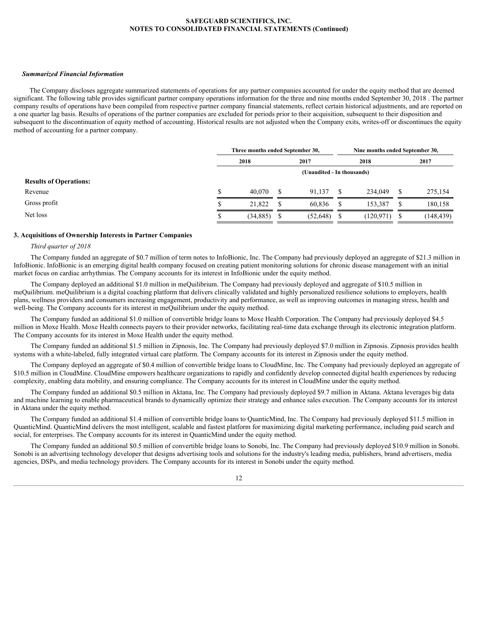#### *Summarized Financial Information*

The Company discloses aggregate summarized statements of operations for any partner companies accounted for under the equity method that are deemed significant. The following table provides significant partner company operations information for the three and nine months ended September 30, 2018 . The partner company results of operations have been compiled from respective partner company financial statements, reflect certain historical adjustments, and are reported on a one quarter lag basis. Results of operations of the partner companies are excluded for periods prior to their acquisition, subsequent to their disposition and subsequent to the discontinuation of equity method of accounting. Historical results are not adjusted when the Company exits, writes-off or discontinues the equity method of accounting for a partner company.

|                               | Three months ended September 30, |  | Nine months ended September 30, |                 |      |            |
|-------------------------------|----------------------------------|--|---------------------------------|-----------------|------|------------|
|                               | 2018                             |  | 2017                            | 2018            | 2017 |            |
|                               |                                  |  | (Unaudited - In thousands)      |                 |      |            |
| <b>Results of Operations:</b> |                                  |  |                                 |                 |      |            |
| Revenue                       | 40,070                           |  | 91,137                          | 234,049         |      | 275,154    |
| Gross profit                  | 21,822                           |  | 60,836                          | 153,387         |      | 180,158    |
| Net loss                      | (34,885)                         |  | (52, 648)                       | $(120, 971)$ \$ |      | (148, 439) |

# **3. Acquisitions of Ownership Interests in Partner Companies**

## *Third quarter of 2018*

The Company funded an aggregate of \$0.7 million of term notes to InfoBionic, Inc. The Company had previously deployed an aggregate of \$21.3 million in InfoBionic. InfoBionic is an emerging digital health company focused on creating patient monitoring solutions for chronic disease management with an initial market focus on cardiac arrhythmias. The Company accounts for its interest in InfoBionic under the equity method.

The Company deployed an additional \$1.0 million in meQuilibrium. The Company had previously deployed and aggregate of \$10.5 million in meQuilibrium. meQuilibrium is a digital coaching platform that delivers clinically validated and highly personalized resilience solutions to employers, health plans, wellness providers and consumers increasing engagement, productivity and performance, as well as improving outcomes in managing stress, health and well-being. The Company accounts for its interest in meQuilibrium under the equity method.

The Company funded an additional \$1.0 million of convertible bridge loans to Moxe Health Corporation. The Company had previously deployed \$4.5 million in Moxe Health. Moxe Health connects payers to their provider networks, facilitating real-time data exchange through its electronic integration platform. The Company accounts for its interest in Moxe Health under the equity method.

The Company funded an additional \$1.5 million in Zipnosis, Inc. The Company had previously deployed \$7.0 million in Zipnosis. Zipnosis provides health systems with a white-labeled, fully integrated virtual care platform. The Company accounts for its interest in Zipnosis under the equity method.

The Company deployed an aggregate of \$0.4 million of convertible bridge loans to CloudMine, Inc. The Company had previously deployed an aggregate of \$10.5 million in CloudMine. CloudMine empowers healthcare organizations to rapidly and confidently develop connected digital health experiences by reducing complexity, enabling data mobility, and ensuring compliance. The Company accounts for its interest in CloudMine under the equity method.

The Company funded an additional \$0.5 million in Aktana, Inc. The Company had previously deployed \$9.7 million in Aktana. Aktana leverages big data and machine learning to enable pharmaceutical brands to dynamically optimize their strategy and enhance sales execution. The Company accounts for its interest in Aktana under the equity method.

The Company funded an additional \$1.4 million of convertible bridge loans to QuanticMind, Inc. The Company had previously deployed \$11.5 million in QuanticMind. QuanticMind delivers the most intelligent, scalable and fastest platform for maximizing digital marketing performance, including paid search and social, for enterprises. The Company accounts for its interest in QuanticMind under the equity method.

The Company funded an additional \$0.5 million of convertible bridge loans to Sonobi, Inc. The Company had previously deployed \$10.9 million in Sonobi. Sonobi is an advertising technology developer that designs advertising tools and solutions for the industry's leading media, publishers, brand advertisers, media agencies, DSPs, and media technology providers. The Company accounts for its interest in Sonobi under the equity method.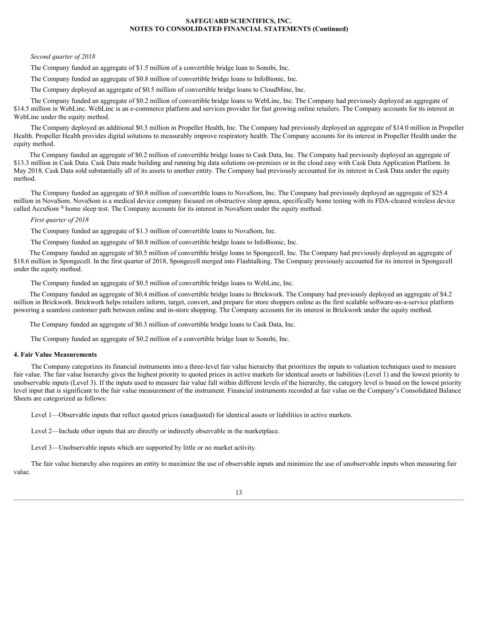## *Second quarter of 2018*

The Company funded an aggregate of \$1.5 million of a convertible bridge loan to Sonobi, Inc.

The Company funded an aggregate of \$0.8 million of convertible bridge loans to InfoBionic, Inc.

The Company deployed an aggregate of \$0.5 million of convertible bridge loans to CloudMine, Inc.

The Company funded an aggregate of \$0.2 million of convertible bridge loans to WebLinc, Inc. The Company had previously deployed an aggregate of \$14.5 million in WebLinc. WebLinc is an e-commerce platform and services provider for fast growing online retailers. The Company accounts for its interest in WebLinc under the equity method.

The Company deployed an additional \$0.3 million in Propeller Health, Inc. The Company had previously deployed an aggregate of \$14.0 million in Propeller Health. Propeller Health provides digital solutions to measurably improve respiratory health. The Company accounts for its interest in Propeller Health under the equity method.

The Company funded an aggregate of \$0.2 million of convertible bridge loans to Cask Data, Inc. The Company had previously deployed an aggregate of \$13.3 million in Cask Data. Cask Data made building and running big data solutions on-premises or in the cloud easy with Cask Data Application Platform. In May 2018, Cask Data sold substantially all of its assets to another entity. The Company had previously accounted for its interest in Cask Data under the equity method.

The Company funded an aggregate of \$0.8 million of convertible loans to NovaSom, Inc. The Company had previously deployed an aggregate of \$25.4 million in NovaSom. NovaSom is a medical device company focused on obstructive sleep apnea, specifically home testing with its FDA-cleared wireless device called AccuSom ® home sleep test. The Company accounts for its interest in NovaSom under the equity method.

#### *First quarter of 2018*

The Company funded an aggregate of \$1.3 million of convertible loans to NovaSom, Inc.

The Company funded an aggregate of \$0.8 million of convertible bridge loans to InfoBionic, Inc.

The Company funded an aggregate of \$0.5 million of convertible bridge loans to Spongecell, Inc. The Company had previously deployed an aggregate of \$18.6 million in Spongecell. In the first quarter of 2018, Spongecell merged into Flashtalking. The Company previously accounted for its interest in Spongecell under the equity method.

The Company funded an aggregate of \$0.5 million of convertible bridge loans to WebLinc, Inc.

The Company funded an aggregate of \$0.4 million of convertible bridge loans to Brickwork. The Company had previously deployed an aggregate of \$4.2 million in Brickwork. Brickwork helps retailers inform, target, convert, and prepare for store shoppers online as the first scalable software-as-a-service platform powering a seamless customer path between online and in-store shopping. The Company accounts for its interest in Brickwork under the equity method.

The Company funded an aggregate of \$0.3 million of convertible bridge loans to Cask Data, Inc.

The Company funded an aggregate of \$0.2 million of a convertible bridge loan to Sonobi, Inc.

#### **4. Fair Value Measurements**

The Company categorizes its financial instruments into a three-level fair value hierarchy that prioritizes the inputs to valuation techniques used to measure fair value. The fair value hierarchy gives the highest priority to quoted prices in active markets for identical assets or liabilities (Level 1) and the lowest priority to unobservable inputs (Level 3). If the inputs used to measure fair value fall within different levels of the hierarchy, the category level is based on the lowest priority level input that is significant to the fair value measurement of the instrument. Financial instruments recorded at fair value on the Company's Consolidated Balance Sheets are categorized as follows:

Level 1—Observable inputs that reflect quoted prices (unadjusted) for identical assets or liabilities in active markets.

Level 2—Include other inputs that are directly or indirectly observable in the marketplace.

Level 3—Unobservable inputs which are supported by little or no market activity.

The fair value hierarchy also requires an entity to maximize the use of observable inputs and minimize the use of unobservable inputs when measuring fair value.

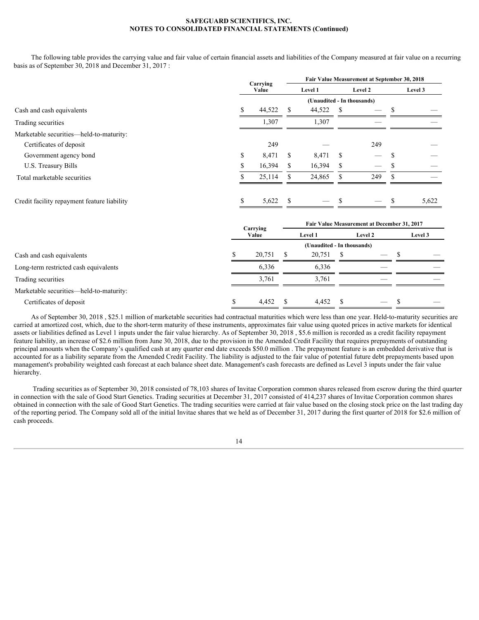The following table provides the carrying value and fair value of certain financial assets and liabilities of the Company measured at fair value on a recurring basis as of September 30, 2018 and December 31, 2017 :

|                                             |               | Carrying          |              |                            |     | Fair Value Measurement at September 30, 2018 |     |                               |
|---------------------------------------------|---------------|-------------------|--------------|----------------------------|-----|----------------------------------------------|-----|-------------------------------|
|                                             |               | Value             |              | Level 1                    |     | Level 2                                      |     | Level 3                       |
|                                             |               |                   |              |                            |     | (Unaudited - In thousands)                   |     |                               |
| Cash and cash equivalents                   |               | 44,522 \$         |              | 44,522 \$                  |     |                                              | -8  |                               |
| Trading securities                          |               | 1,307             |              | 1,307                      |     |                                              |     |                               |
| Marketable securities-held-to-maturity:     |               |                   |              |                            |     |                                              |     |                               |
| Certificates of deposit                     |               | 249               |              |                            |     | 249                                          |     | $\overbrace{\phantom{13333}}$ |
| Government agency bond                      | \$            | 8,471             | $\mathbf{s}$ | 8,471 \$                   |     |                                              | -8  |                               |
| U.S. Treasury Bills                         |               | 16,394            | $\mathbf{s}$ | $16,394$ \$                |     | $\overline{\phantom{0}}$                     | -S  |                               |
| Total marketable securities                 |               | 25,114            | - S          | 24,865 \$                  |     | 249                                          | -S  |                               |
|                                             |               |                   |              |                            |     |                                              |     |                               |
| Credit facility repayment feature liability |               | $5,622$ \$        |              |                            | -S  | $\overline{\phantom{0}}$                     |     | 5,622                         |
|                                             |               |                   |              |                            |     |                                              |     |                               |
|                                             |               |                   |              |                            |     | Fair Value Measurement at December 31, 2017  |     |                               |
|                                             |               | Carrying<br>Value |              | Level 1                    |     | Level 2                                      |     | Level 3                       |
|                                             |               |                   |              | (Unaudited - In thousands) |     |                                              |     |                               |
| Cash and cash equivalents                   |               | 20,751            | <sup>S</sup> | 20,751                     | - S |                                              |     |                               |
| Long-term restricted cash equivalents       |               | 6,336             |              | 6,336                      |     |                                              |     |                               |
| Trading securities                          |               | 3,761             |              | 3,761                      |     |                                              |     |                               |
| Marketable securities-held-to-maturity:     |               |                   |              |                            |     |                                              |     |                               |
| Certificates of deposit                     | <sup>\$</sup> | 4,452             | $\mathbf{s}$ | $4,452$ \$                 |     | $\overline{\phantom{a}}$                     | - 8 |                               |

As of September 30, 2018 , \$25.1 million of marketable securities had contractual maturities which were less than one year. Held-to-maturity securities are carried at amortized cost, which, due to the short-term maturity of these instruments, approximates fair value using quoted prices in active markets for identical assets or liabilities defined as Level 1 inputs under the fair value hierarchy. As of September 30, 2018 , \$5.6 million is recorded as a credit facility repayment feature liability, an increase of \$2.6 million from June 30, 2018, due to the provision in the Amended Credit Facility that requires prepayments of outstanding principal amounts when the Company's qualified cash at any quarter end date exceeds \$50.0 million . The prepayment feature is an embedded derivative that is accounted for as a liability separate from the Amended Credit Facility. The liability is adjusted to the fair value of potential future debt prepayments based upon management's probability weighted cash forecast at each balance sheet date. Management's cash forecasts are defined as Level 3 inputs under the fair value hierarchy.

Trading securities as of September 30, 2018 consisted of 78,103 shares of Invitae Corporation common shares released from escrow during the third quarter in connection with the sale of Good Start Genetics. Trading securities at December 31, 2017 consisted of 414,237 shares of Invitae Corporation common shares obtained in connection with the sale of Good Start Genetics. The trading securities were carried at fair value based on the closing stock price on the last trading day of the reporting period. The Company sold all of the initial Invitae shares that we held as of December 31, 2017 during the first quarter of 2018 for \$2.6 million of cash proceeds.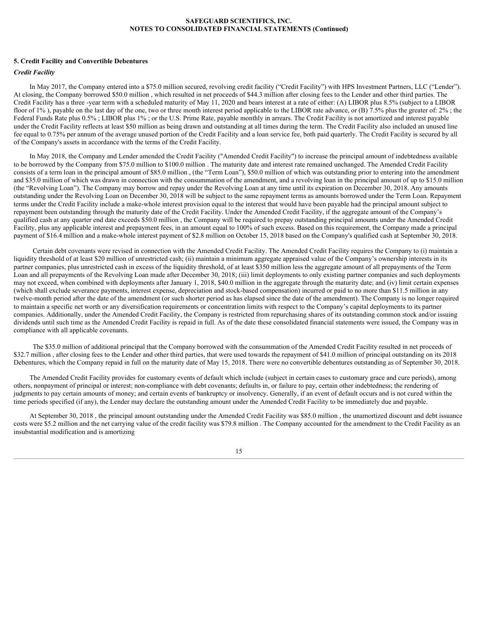#### **5. Credit Facility and Convertible Debentures**

# *Credit Facility*

In May 2017, the Company entered into a \$75.0 million secured, revolving credit facility ("Credit Facility") with HPS Investment Partners, LLC ("Lender"). At closing, the Company borrowed \$50.0 million , which resulted in net proceeds of \$44.3 million after closing fees to the Lender and other third parties. The Credit Facility has a three -year term with a scheduled maturity of May 11, 2020 and bears interest at a rate of either: (A) LIBOR plus 8.5% (subject to a LIBOR floor of 1%), payable on the last day of the one, two or three month interest period applicable to the LIBOR rate advance, or (B) 7.5% plus the greater of: 2%; the Federal Funds Rate plus 0.5%; LIBOR plus 1%; or the U.S. Prime Rate, payable monthly in arrears. The Credit Facility is not amortized and interest payable under the Credit Facility reflects at least \$50 million as being drawn and outstanding at all times during the term. The Credit Facility also included an unused line fee equal to 0.75% per annum of the average unused portion of the Credit Facility and a loan service fee, both paid quarterly. The Credit Facility is secured by all of the Company's assets in accordance with the terms of the Credit Facility.

In May 2018, the Company and Lender amended the Credit Facility ("Amended Credit Facility") to increase the principal amount of indebtedness available to be borrowed by the Company from \$75.0 million to \$100.0 million . The maturity date and interest rate remained unchanged. The Amended Credit Facility consists of a term loan in the principal amount of \$85.0 million , (the "Term Loan"), \$50.0 million of which was outstanding prior to entering into the amendment and \$35.0 million of which was drawn in connection with the consummation of the amendment, and a revolving loan in the principal amount of up to \$15.0 million (the "Revolving Loan"). The Company may borrow and repay under the Revolving Loan at any time until its expiration on December 30, 2018. Any amounts outstanding under the Revolving Loan on December 30, 2018 will be subject to the same repayment terms as amounts borrowed under the Term Loan. Repayment terms under the Credit Facility include a make-whole interest provision equal to the interest that would have been payable had the principal amount subject to repayment been outstanding through the maturity date of the Credit Facility. Under the Amended Credit Facility, if the aggregate amount of the Company's qualified cash at any quarter end date exceeds \$50.0 million , the Company will be required to prepay outstanding principal amounts under the Amended Credit Facility, plus any applicable interest and prepayment fees, in an amount equal to 100% of such excess. Based on this requirement, the Company made a principal payment of \$16.4 million and a make-whole interest payment of \$2.8 million on October 15, 2018 based on the Company's qualified cash at September 30, 2018.

Certain debt covenants were revised in connection with the Amended Credit Facility. The Amended Credit Facility requires the Company to (i) maintain a liquidity threshold of at least \$20 million of unrestricted cash; (ii) maintain a minimum aggregate appraised value of the Company's ownership interests in its partner companies, plus unrestricted cash in excess of the liquidity threshold, of at least \$350 million less the aggregate amount of all prepayments of the Term Loan and all prepayments of the Revolving Loan made after December 30, 2018; (iii) limit deployments to only existing partner companies and such deployments may not exceed, when combined with deployments after January 1, 2018, \$40.0 million in the aggregate through the maturity date; and (iv) limit certain expenses (which shall exclude severance payments, interest expense, depreciation and stock-based compensation) incurred or paid to no more than \$11.5 million in any twelve-month period after the date of the amendment (or such shorter period as has elapsed since the date of the amendment). The Company is no longer required to maintain a specific net worth or any diversification requirements or concentration limits with respect to the Company's capital deployments to its partner companies. Additionally, under the Amended Credit Facility, the Company is restricted from repurchasing shares of its outstanding common stock and/or issuing dividends until such time as the Amended Credit Facility is repaid in full. As of the date these consolidated financial statements were issued, the Company was in compliance with all applicable covenants.

The \$35.0 million of additional principal that the Company borrowed with the consummation of the Amended Credit Facility resulted in net proceeds of \$32.7 million, after closing fees to the Lender and other third parties, that were used towards the repayment of \$41.0 million of principal outstanding on its 2018 Debentures, which the Company repaid in full on the maturity date of May 15, 2018. There were no convertible debentures outstanding as of September 30, 2018.

The Amended Credit Facility provides for customary events of default which include (subject in certain cases to customary grace and cure periods), among others, nonpayment of principal or interest; non-compliance with debt covenants; defaults in, or failure to pay, certain other indebtedness; the rendering of judgments to pay certain amounts of money; and certain events of bankruptcy or insolvency. Generally, if an event of default occurs and is not cured within the time periods specified (if any), the Lender may declare the outstanding amount under the Amended Credit Facility to be immediately due and payable.

At September 30, 2018 , the principal amount outstanding under the Amended Credit Facility was \$85.0 million , the unamortized discount and debt issuance costs were \$5.2 million and the net carrying value of the credit facility was \$79.8 million . The Company accounted for the amendment to the Credit Facility as an insubstantial modification and is amortizing

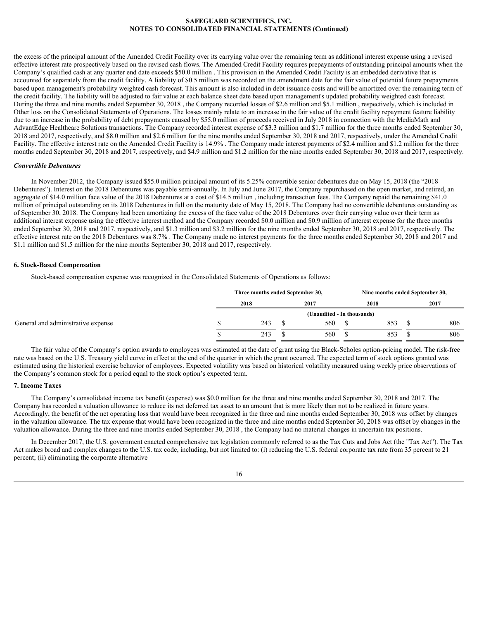the excess of the principal amount of the Amended Credit Facility over its carrying value over the remaining term as additional interest expense using a revised effective interest rate prospectively based on the revised cash flows. The Amended Credit Facility requires prepayments of outstanding principal amounts when the Company's qualified cash at any quarter end date exceeds \$50.0 million . This provision in the Amended Credit Facility is an embedded derivative that is accounted for separately from the credit facility. A liability of \$0.5 million was recorded on the amendment date for the fair value of potential future prepayments based upon management's probability weighted cash forecast. This amount is also included in debt issuance costs and will be amortized over the remaining term of the credit facility. The liability will be adjusted to fair value at each balance sheet date based upon management's updated probability weighted cash forecast. During the three and nine months ended September 30, 2018 , the Company recorded losses of \$2.6 million and \$5.1 million , respectively, which is included in Other loss on the Consolidated Statements of Operations. The losses mainly relate to an increase in the fair value of the credit facility repayment feature liability due to an increase in the probability of debt prepayments caused by \$55.0 million of proceeds received in July 2018 in connection with the MediaMath and AdvantEdge Healthcare Solutions transactions. The Company recorded interest expense of \$3.3 million and \$1.7 million for the three months ended September 30, 2018 and 2017, respectively, and \$8.0 million and \$2.6 million for the nine months ended September 30, 2018 and 2017, respectively, under the Amended Credit Facility. The effective interest rate on the Amended Credit Facility is 14.9% . The Company made interest payments of \$2.4 million and \$1.2 million for the three months ended September 30, 2018 and 2017, respectively, and \$4.9 million and \$1.2 million for the nine months ended September 30, 2018 and 2017, respectively.

#### *Convertible Debentures*

In November 2012, the Company issued \$55.0 million principal amount of its 5.25% convertible senior debentures due on May 15, 2018 (the "2018 Debentures"). Interest on the 2018 Debentures was payable semi-annually. In July and June 2017, the Company repurchased on the open market, and retired, an aggregate of \$14.0 million face value of the 2018 Debentures at a cost of \$14.5 million , including transaction fees. The Company repaid the remaining \$41.0 million of principal outstanding on its 2018 Debentures in full on the maturity date of May 15, 2018. The Company had no convertible debentures outstanding as of September 30, 2018. The Company had been amortizing the excess of the face value of the 2018 Debentures over their carrying value over their term as additional interest expense using the effective interest method and the Company recorded \$0.0 million and \$0.9 million of interest expense for the three months ended September 30, 2018 and 2017, respectively, and \$1.3 million and \$3.2 million for the nine months ended September 30, 2018 and 2017, respectively. The effective interest rate on the 2018 Debentures was 8.7% . The Company made no interest payments for the three months ended September 30, 2018 and 2017 and \$1.1 million and \$1.5 million for the nine months September 30, 2018 and 2017, respectively.

#### **6. Stock-Based Compensation**

Stock-based compensation expense was recognized in the Consolidated Statements of Operations as follows:

|                                    | Three months ended September 30, |                            | Nine months ended September 30, |     |  |      |  |  |
|------------------------------------|----------------------------------|----------------------------|---------------------------------|-----|--|------|--|--|
|                                    | 2018                             | 2017                       | 2018                            |     |  | 2017 |  |  |
|                                    |                                  | (Unaudited - In thousands) |                                 |     |  |      |  |  |
| General and administrative expense | 243                              | 560                        |                                 | 853 |  | 806  |  |  |
|                                    | 243                              | 560                        |                                 | 853 |  | 806  |  |  |

The fair value of the Company's option awards to employees was estimated at the date of grant using the Black-Scholes option-pricing model. The risk-free rate was based on the U.S. Treasury yield curve in effect at the end of the quarter in which the grant occurred. The expected term of stock options granted was estimated using the historical exercise behavior of employees. Expected volatility was based on historical volatility measured using weekly price observations of the Company's common stock for a period equal to the stock option's expected term.

#### **7. Income Taxes**

The Company's consolidated income tax benefit (expense) was \$0.0 million for the three and nine months ended September 30, 2018 and 2017. The Company has recorded a valuation allowance to reduce its net deferred tax asset to an amount that is more likely than not to be realized in future years. Accordingly, the benefit of the net operating loss that would have been recognized in the three and nine months ended September 30, 2018 was offset by changes in the valuation allowance. The tax expense that would have been recognized in the three and nine months ended September 30, 2018 was offset by changes in the valuation allowance. During the three and nine months ended September 30, 2018 , the Company had no material changes in uncertain tax positions.

In December 2017, the U.S. government enacted comprehensive tax legislation commonly referred to as the Tax Cuts and Jobs Act (the "Tax Act"). The Tax Act makes broad and complex changes to the U.S. tax code, including, but not limited to: (i) reducing the U.S. federal corporate tax rate from 35 percent to 21 percent; (ii) eliminating the corporate alternative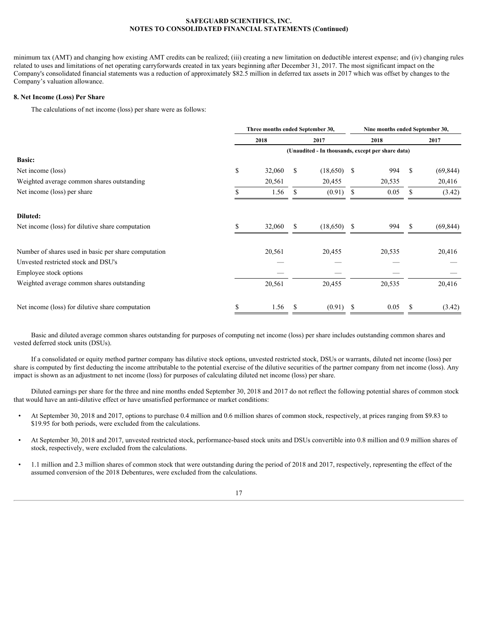minimum tax (AMT) and changing how existing AMT credits can be realized; (iii) creating a new limitation on deductible interest expense; and (iv) changing rules related to uses and limitations of net operating carryforwards created in tax years beginning after December 31, 2017. The most significant impact on the Company's consolidated financial statements was a reduction of approximately \$82.5 million in deferred tax assets in 2017 which was offset by changes to the Company's valuation allowance.

# **8. Net Income (Loss) Per Share**

The calculations of net income (loss) per share were as follows:

|                                                      |               | Three months ended September 30,                  |  |                                 | Nine months ended September 30, |                   |    |           |  |  |  |  |  |
|------------------------------------------------------|---------------|---------------------------------------------------|--|---------------------------------|---------------------------------|-------------------|----|-----------|--|--|--|--|--|
|                                                      |               | 2018                                              |  | 2017                            |                                 | 2018              |    | 2017      |  |  |  |  |  |
|                                                      |               | (Unaudited - In thousands, except per share data) |  |                                 |                                 |                   |    |           |  |  |  |  |  |
| <b>Basic:</b>                                        |               |                                                   |  |                                 |                                 |                   |    |           |  |  |  |  |  |
| Net income (loss)                                    | <sup>\$</sup> | $32,060$ \$                                       |  | $(18,650)$ \$                   |                                 | 994 \$            |    | (69, 844) |  |  |  |  |  |
| Weighted average common shares outstanding           |               | 20,561                                            |  | 20,455                          |                                 | 20,535            |    | 20,416    |  |  |  |  |  |
| Net income (loss) per share                          |               |                                                   |  | $(0.91)$ \$                     |                                 | 0.05              | -S | (3.42)    |  |  |  |  |  |
|                                                      |               |                                                   |  |                                 |                                 |                   |    |           |  |  |  |  |  |
| Diluted:                                             |               |                                                   |  |                                 |                                 |                   |    |           |  |  |  |  |  |
| Net income (loss) for dilutive share computation     |               | $32,060$ \$                                       |  | $(18,650)$ \$                   |                                 | 994               | -S | (69, 844) |  |  |  |  |  |
|                                                      |               |                                                   |  |                                 |                                 |                   |    |           |  |  |  |  |  |
| Number of shares used in basic per share computation |               | 20,561                                            |  | 20,455                          |                                 | 20,535            |    | 20,416    |  |  |  |  |  |
| Unvested restricted stock and DSU's                  |               |                                                   |  | $\hspace{0.1mm}-\hspace{0.1mm}$ |                                 | $\hspace{0.05cm}$ |    |           |  |  |  |  |  |
| Employee stock options                               |               | $\qquad \qquad$                                   |  | $\hspace{0.05cm}$               |                                 | $\hspace{0.05cm}$ |    |           |  |  |  |  |  |
| Weighted average common shares outstanding           |               | 20,561                                            |  | 20,455                          |                                 | 20,535            |    | 20,416    |  |  |  |  |  |
|                                                      |               |                                                   |  |                                 |                                 |                   |    |           |  |  |  |  |  |
| Net income (loss) for dilutive share computation     |               | $1.56$ \$                                         |  | $(0.91)$ \$                     |                                 | $0.05$ \$         |    | (3.42)    |  |  |  |  |  |

Basic and diluted average common shares outstanding for purposes of computing net income (loss) per share includes outstanding common shares and vested deferred stock units (DSUs).

If a consolidated or equity method partner company has dilutive stock options, unvested restricted stock, DSUs or warrants, diluted net income (loss) per share is computed by first deducting the income attributable to the potential exercise of the dilutive securities of the partner company from net income (loss). Any impact is shown as an adjustment to net income (loss) for purposes of calculating diluted net income (loss) per share.

Diluted earnings per share for the three and nine months ended September 30, 2018 and 2017 do not reflect the following potential shares of common stock that would have an anti-dilutive effect or have unsatisfied performance or market conditions:

- At September 30, 2018 and 2017, options to purchase 0.4 million and 0.6 million shares of common stock, respectively, at prices ranging from \$9.83 to \$19.95 for both periods, were excluded from the calculations.
- At September 30, 2018 and 2017, unvested restricted stock, performance-based stock units and DSUs convertible into 0.8 million and 0.9 million shares of stock, respectively, were excluded from the calculations.
- 1.1 million and 2.3 million shares of common stock that were outstanding during the period of 2018 and 2017, respectively, representing the effect of the assumed conversion of the 2018 Debentures, were excluded from the calculations.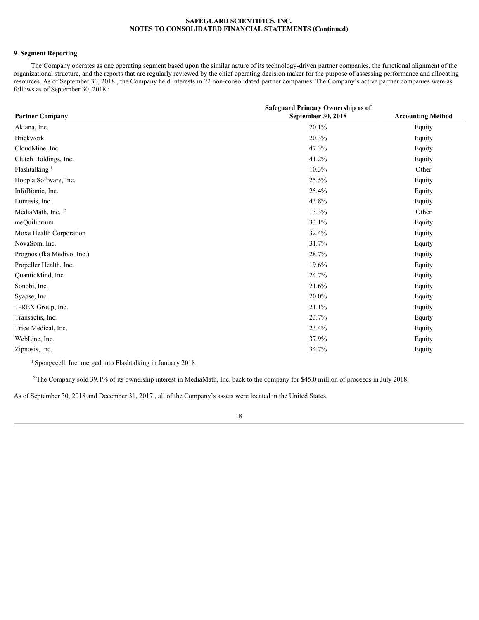# **9. Segment Reporting**

The Company operates as one operating segment based upon the similar nature of its technology-driven partner companies, the functional alignment of the organizational structure, and the reports that are regularly reviewed by the chief operating decision maker for the purpose of assessing performance and allocating resources. As of September 30, 2018 , the Company held interests in 22 non-consolidated partner companies. The Company's active partner companies were as follows as of September 30, 2018 :

|                              | Safeguard Primary Ownership as of |                          |
|------------------------------|-----------------------------------|--------------------------|
| <b>Partner Company</b>       | <b>September 30, 2018</b>         | <b>Accounting Method</b> |
| Aktana, Inc.                 | 20.1%                             | Equity                   |
| Brickwork                    | 20.3%                             | Equity                   |
| CloudMine, Inc.              | 47.3%                             | Equity                   |
| Clutch Holdings, Inc.        | 41.2%                             | Equity                   |
| Flashtalking <sup>1</sup>    | $10.3\%$                          | Other                    |
| Hoopla Software, Inc.        | 25.5%                             | Equity                   |
| InfoBionic, Inc.             | 25.4%                             | Equity                   |
| Lumesis, Inc.                | 43.8%                             | Equity                   |
| MediaMath, Inc. <sup>2</sup> | 13.3%                             | Other                    |
| meQuilibrium                 | 33.1%                             | Equity                   |
| Moxe Health Corporation      | 32.4%                             | Equity                   |
| NovaSom, Inc.                | 31.7%                             | Equity                   |
| Prognos (fka Medivo, Inc.)   | 28.7%                             | Equity                   |
| Propeller Health, Inc.       | 19.6%                             | Equity                   |
| QuanticMind, Inc.            | 24.7%                             | Equity                   |
| Sonobi, Inc.                 | 21.6%                             | Equity                   |
| Syapse, Inc.                 | 20.0%                             | Equity                   |
| T-REX Group, Inc.            | 21.1%                             | Equity                   |
| Transactis, Inc.             | 23.7%                             | Equity                   |
| Trice Medical, Inc.          | 23.4%                             | Equity                   |
| WebLinc, Inc.                | 37.9%                             | Equity                   |
| Zipnosis, Inc.               | 34.7%                             | Equity                   |

<sup>1</sup> Spongecell, Inc. merged into Flashtalking in January 2018.

<sup>2</sup>The Company sold 39.1% of its ownership interest in MediaMath, Inc. back to the company for \$45.0 million of proceeds in July 2018.

As of September 30, 2018 and December 31, 2017 , all of the Company's assets were located in the United States.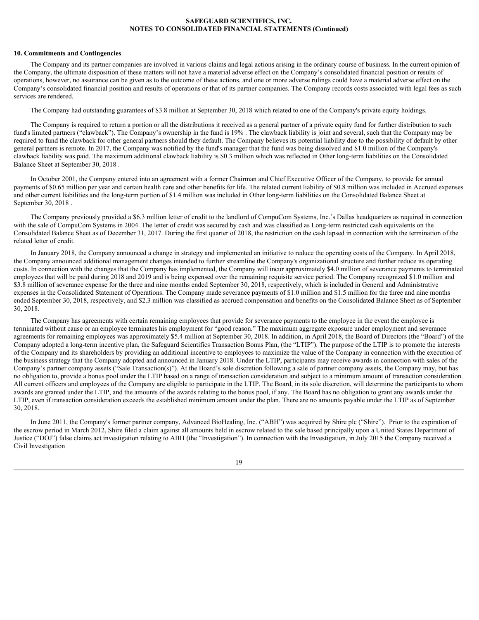#### **10. Commitments and Contingencies**

The Company and its partner companies are involved in various claims and legal actions arising in the ordinary course of business. In the current opinion of the Company, the ultimate disposition of these matters will not have a material adverse effect on the Company's consolidated financial position or results of operations, however, no assurance can be given as to the outcome of these actions, and one or more adverse rulings could have a material adverse effect on the Company's consolidated financial position and results of operations or that of its partner companies. The Company records costs associated with legal fees as such services are rendered.

The Company had outstanding guarantees of \$3.8 million at September 30, 2018 which related to one of the Company's private equity holdings.

The Company is required to return a portion or all the distributions it received as a general partner of a private equity fund for further distribution to such fund's limited partners ("clawback"). The Company's ownership in the fund is 19% . The clawback liability is joint and several, such that the Company may be required to fund the clawback for other general partners should they default. The Company believes its potential liability due to the possibility of default by other general partners is remote. In 2017, the Company was notified by the fund's manager that the fund was being dissolved and \$1.0 million of the Company's clawback liability was paid. The maximum additional clawback liability is \$0.3 million which was reflected in Other long-term liabilities on the Consolidated Balance Sheet at September 30, 2018 .

In October 2001, the Company entered into an agreement with a former Chairman and Chief Executive Officer of the Company, to provide for annual payments of \$0.65 million per year and certain health care and other benefits for life. The related current liability of \$0.8 million was included in Accrued expenses and other current liabilities and the long-term portion of \$1.4 million was included in Other long-term liabilities on the Consolidated Balance Sheet at September 30, 2018 .

The Company previously provided a \$6.3 million letter of credit to the landlord of CompuCom Systems, Inc.'s Dallas headquarters as required in connection with the sale of CompuCom Systems in 2004. The letter of credit was secured by cash and was classified as Long-term restricted cash equivalents on the Consolidated Balance Sheet as of December 31, 2017. During the first quarter of 2018, the restriction on the cash lapsed in connection with the termination of the related letter of credit.

In January 2018, the Company announced a change in strategy and implemented an initiative to reduce the operating costs of the Company. In April 2018, the Company announced additional management changes intended to further streamline the Company's organizational structure and further reduce its operating costs. In connection with the changes that the Company has implemented, the Company will incur approximately \$4.0 million of severance payments to terminated employees that will be paid during 2018 and 2019 and is being expensed over the remaining requisite service period. The Company recognized \$1.0 million and \$3.8 million of severance expense for the three and nine months ended September 30, 2018, respectively, which is included in General and Administrative expenses in the Consolidated Statement of Operations. The Company made severance payments of \$1.0 million and \$1.5 million for the three and nine months ended September 30, 2018, respectively, and \$2.3 million was classified as accrued compensation and benefits on the Consolidated Balance Sheet as of September 30, 2018.

The Company has agreements with certain remaining employees that provide for severance payments to the employee in the event the employee is terminated without cause or an employee terminates his employment for "good reason." The maximum aggregate exposure under employment and severance agreements for remaining employees was approximately \$5.4 million at September 30, 2018. In addition, in April 2018, the Board of Directors (the "Board") of the Company adopted a long-term incentive plan, the Safeguard Scientifics Transaction Bonus Plan, (the "LTIP"). The purpose of the LTIP is to promote the interests of the Company and its shareholders by providing an additional incentive to employees to maximize the value of the Company in connection with the execution of the business strategy that the Company adopted and announced in January 2018. Under the LTIP, participants may receive awards in connection with sales of the Company's partner company assets ("Sale Transaction(s)"). At the Board's sole discretion following a sale of partner company assets, the Company may, but has no obligation to, provide a bonus pool under the LTIP based on a range of transaction consideration and subject to a minimum amount of transaction consideration. All current officers and employees of the Company are eligible to participate in the LTIP. The Board, in its sole discretion, will determine the participants to whom awards are granted under the LTIP, and the amounts of the awards relating to the bonus pool, if any. The Board has no obligation to grant any awards under the LTIP, even if transaction consideration exceeds the established minimum amount under the plan. There are no amounts payable under the LTIP as of September 30, 2018.

In June 2011, the Company's former partner company, Advanced BioHealing, Inc. ("ABH") was acquired by Shire plc ("Shire"). Prior to the expiration of the escrow period in March 2012, Shire filed a claim against all amounts held in escrow related to the sale based principally upon a United States Department of Justice ("DOJ") false claims act investigation relating to ABH (the "Investigation"). In connection with the Investigation, in July 2015 the Company received a Civil Investigation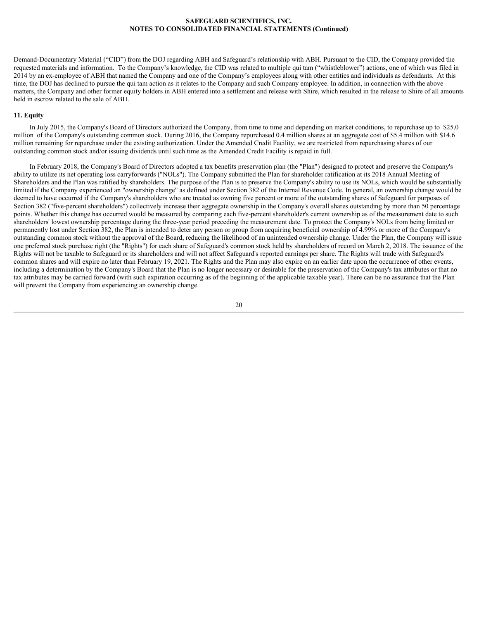Demand-Documentary Material ("CID") from the DOJ regarding ABH and Safeguard's relationship with ABH. Pursuant to the CID, the Company provided the requested materials and information. To the Company's knowledge, the CID was related to multiple qui tam ("whistleblower") actions, one of which was filed in 2014 by an ex-employee of ABH that named the Company and one of the Company's employees along with other entities and individuals as defendants. At this time, the DOJ has declined to pursue the qui tam action as it relates to the Company and such Company employee. In addition, in connection with the above matters, the Company and other former equity holders in ABH entered into a settlement and release with Shire, which resulted in the release to Shire of all amounts held in escrow related to the sale of ABH.

# **11. Equity**

In July 2015, the Company's Board of Directors authorized the Company, from time to time and depending on market conditions, to repurchase up to \$25.0 million of the Company's outstanding common stock. During 2016, the Company repurchased 0.4 million shares at an aggregate cost of \$5.4 million with \$14.6 million remaining for repurchase under the existing authorization. Under the Amended Credit Facility, we are restricted from repurchasing shares of our outstanding common stock and/or issuing dividends until such time as the Amended Credit Facility is repaid in full.

In February 2018, the Company's Board of Directors adopted a tax benefits preservation plan (the "Plan") designed to protect and preserve the Company's ability to utilize its net operating loss carryforwards ("NOLs"). The Company submitted the Plan for shareholder ratification at its 2018 Annual Meeting of Shareholders and the Plan was ratified by shareholders. The purpose of the Plan is to preserve the Company's ability to use its NOLs, which would be substantially limited if the Company experienced an "ownership change" as defined under Section 382 of the Internal Revenue Code. In general, an ownership change would be deemed to have occurred if the Company's shareholders who are treated as owning five percent or more of the outstanding shares of Safeguard for purposes of Section 382 ("five-percent shareholders") collectively increase their aggregate ownership in the Company's overall shares outstanding by more than 50 percentage points. Whether this change has occurred would be measured by comparing each five-percent shareholder's current ownership as of the measurement date to such shareholders' lowest ownership percentage during the three-year period preceding the measurement date. To protect the Company's NOLs from being limited or permanently lost under Section 382, the Plan is intended to deter any person or group from acquiring beneficial ownership of 4.99% or more of the Company's outstanding common stock without the approval of the Board, reducing the likelihood of an unintended ownership change. Under the Plan, the Company will issue one preferred stock purchase right (the "Rights") for each share of Safeguard's common stock held by shareholders of record on March 2, 2018. The issuance of the Rights will not be taxable to Safeguard or its shareholders and will not affect Safeguard's reported earnings per share. The Rights will trade with Safeguard's common shares and will expire no later than February 19, 2021. The Rights and the Plan may also expire on an earlier date upon the occurrence of other events, including a determination by the Company's Board that the Plan is no longer necessary or desirable for the preservation of the Company's tax attributes or that no tax attributes may be carried forward (with such expiration occurring as of the beginning of the applicable taxable year). There can be no assurance that the Plan will prevent the Company from experiencing an ownership change.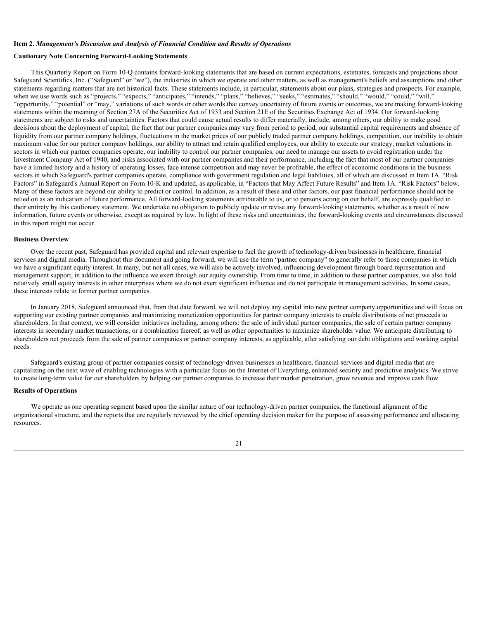#### <span id="page-20-0"></span>**Item 2.** *Management's Discussion and Analysis of Financial Condition and Results of Operations*

## **Cautionary Note Concerning Forward-Looking Statements**

This Quarterly Report on Form 10-Q contains forward-looking statements that are based on current expectations, estimates, forecasts and projections about Safeguard Scientifics, Inc. ("Safeguard" or "we"), the industries in which we operate and other matters, as well as management's beliefs and assumptions and other statements regarding matters that are not historical facts. These statements include, in particular, statements about our plans, strategies and prospects. For example, when we use words such as "projects," "expects," "anticipates," "intends," "plans," "believes," "seeks," "estimates," "should," "would," "could," "will," "opportunity," "potential" or "may," variations of such words or other words that convey uncertainty of future events or outcomes, we are making forward-looking statements within the meaning of Section 27A of the Securities Act of 1933 and Section 21E of the Securities Exchange Act of 1934. Our forward-looking statements are subject to risks and uncertainties. Factors that could cause actual results to differ materially, include, among others, our ability to make good decisions about the deployment of capital, the fact that our partner companies may vary from period to period, our substantial capital requirements and absence of liquidity from our partner company holdings, fluctuations in the market prices of our publicly traded partner company holdings, competition, our inability to obtain maximum value for our partner company holdings, our ability to attract and retain qualified employees, our ability to execute our strategy, market valuations in sectors in which our partner companies operate, our inability to control our partner companies, our need to manage our assets to avoid registration under the Investment Company Act of 1940, and risks associated with our partner companies and their performance, including the fact that most of our partner companies have a limited history and a history of operating losses, face intense competition and may never be profitable, the effect of economic conditions in the business sectors in which Safeguard's partner companies operate, compliance with government regulation and legal liabilities, all of which are discussed in Item 1A. "Risk Factors" in Safeguard's Annual Report on Form 10-K and updated, as applicable, in "Factors that May Affect Future Results" and Item 1A. "Risk Factors" below. Many of these factors are beyond our ability to predict or control. In addition, as a result of these and other factors, our past financial performance should not be relied on as an indication of future performance. All forward-looking statements attributable to us, or to persons acting on our behalf, are expressly qualified in their entirety by this cautionary statement. We undertake no obligation to publicly update or revise any forward-looking statements, whether as a result of new information, future events or otherwise, except as required by law. In light of these risks and uncertainties, the forward-looking events and circumstances discussed in this report might not occur.

#### **Business Overview**

Over the recent past, Safeguard has provided capital and relevant expertise to fuel the growth of technology-driven businesses in healthcare, financial services and digital media. Throughout this document and going forward, we will use the term "partner company" to generally refer to those companies in which we have a significant equity interest. In many, but not all cases, we will also be actively involved, influencing development through board representation and management support, in addition to the influence we exert through our equity ownership. From time to time, in addition to these partner companies, we also hold relatively small equity interests in other enterprises where we do not exert significant influence and do not participate in management activities. In some cases, these interests relate to former partner companies.

In January 2018, Safeguard announced that, from that date forward, we will not deploy any capital into new partner company opportunities and will focus on supporting our existing partner companies and maximizing monetization opportunities for partner company interests to enable distributions of net proceeds to shareholders. In that context, we will consider initiatives including, among others: the sale of individual partner companies, the sale of certain partner company interests in secondary market transactions, or a combination thereof, as well as other opportunities to maximize shareholder value. We anticipate distributing to shareholders net proceeds from the sale of partner companies or partner company interests, as applicable, after satisfying our debt obligations and working capital needs.

Safeguard's existing group of partner companies consist of technology-driven businesses in healthcare, financial services and digital media that are capitalizing on the next wave of enabling technologies with a particular focus on the Internet of Everything, enhanced security and predictive analytics. We strive to create long-term value for our shareholders by helping our partner companies to increase their market penetration, grow revenue and improve cash flow.

## **Results of Operations**

We operate as one operating segment based upon the similar nature of our technology-driven partner companies, the functional alignment of the organizational structure, and the reports that are regularly reviewed by the chief operating decision maker for the purpose of assessing performance and allocating resources.

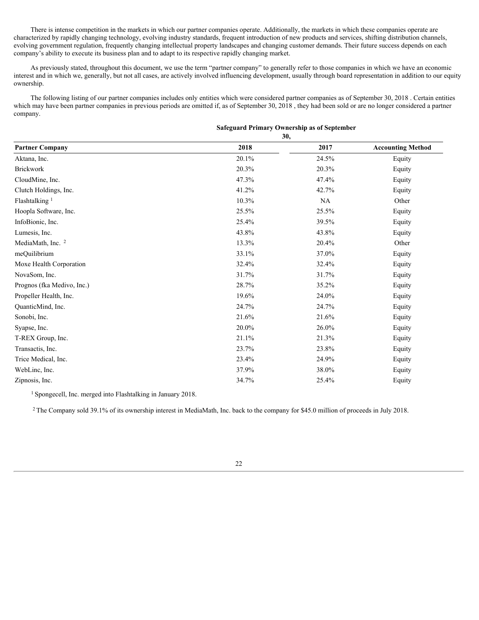There is intense competition in the markets in which our partner companies operate. Additionally, the markets in which these companies operate are characterized by rapidly changing technology, evolving industry standards, frequent introduction of new products and services, shifting distribution channels, evolving government regulation, frequently changing intellectual property landscapes and changing customer demands. Their future success depends on each company's ability to execute its business plan and to adapt to its respective rapidly changing market.

As previously stated, throughout this document, we use the term "partner company" to generally refer to those companies in which we have an economic interest and in which we, generally, but not all cases, are actively involved influencing development, usually through board representation in addition to our equity ownership.

The following listing of our partner companies includes only entities which were considered partner companies as of September 30, 2018 . Certain entities which may have been partner companies in previous periods are omitted if, as of September 30, 2018, they had been sold or are no longer considered a partner company.

|                              | <b>Safeguard Primary Ownership as of September</b> |       |                          |  |  |  |  |  |  |
|------------------------------|----------------------------------------------------|-------|--------------------------|--|--|--|--|--|--|
|                              |                                                    | 30,   |                          |  |  |  |  |  |  |
| <b>Partner Company</b>       | 2018                                               | 2017  | <b>Accounting Method</b> |  |  |  |  |  |  |
| Aktana, Inc.                 | 20.1%                                              | 24.5% | Equity                   |  |  |  |  |  |  |
| Brickwork                    | 20.3%                                              | 20.3% | Equity                   |  |  |  |  |  |  |
| CloudMine, Inc.              | 47.3%                                              | 47.4% | Equity                   |  |  |  |  |  |  |
| Clutch Holdings, Inc.        | 41.2%                                              | 42.7% | Equity                   |  |  |  |  |  |  |
| Flashtalking <sup>1</sup>    | 10.3%                                              | NA    | Other                    |  |  |  |  |  |  |
| Hoopla Software, Inc.        | 25.5%                                              | 25.5% | Equity                   |  |  |  |  |  |  |
| InfoBionic, Inc.             | 25.4%                                              | 39.5% | Equity                   |  |  |  |  |  |  |
| Lumesis, Inc.                | 43.8%                                              | 43.8% | Equity                   |  |  |  |  |  |  |
| MediaMath, Inc. <sup>2</sup> | 13.3%                                              | 20.4% | Other                    |  |  |  |  |  |  |
| meQuilibrium                 | 33.1%                                              | 37.0% | Equity                   |  |  |  |  |  |  |
| Moxe Health Corporation      | 32.4%                                              | 32.4% | Equity                   |  |  |  |  |  |  |
| NovaSom, Inc.                | 31.7%                                              | 31.7% | Equity                   |  |  |  |  |  |  |
| Prognos (fka Medivo, Inc.)   | 28.7%                                              | 35.2% | Equity                   |  |  |  |  |  |  |
| Propeller Health, Inc.       | 19.6%                                              | 24.0% | Equity                   |  |  |  |  |  |  |
| QuanticMind, Inc.            | 24.7%                                              | 24.7% | Equity                   |  |  |  |  |  |  |
| Sonobi, Inc.                 | 21.6%                                              | 21.6% | Equity                   |  |  |  |  |  |  |
| Syapse, Inc.                 | 20.0%                                              | 26.0% | Equity                   |  |  |  |  |  |  |
| T-REX Group, Inc.            | 21.1%                                              | 21.3% | Equity                   |  |  |  |  |  |  |
| Transactis, Inc.             | 23.7%                                              | 23.8% | Equity                   |  |  |  |  |  |  |
| Trice Medical, Inc.          | 23.4%                                              | 24.9% | Equity                   |  |  |  |  |  |  |
| WebLinc, Inc.                | 37.9%                                              | 38.0% | Equity                   |  |  |  |  |  |  |
| Zipnosis, Inc.               | 34.7%                                              | 25.4% | Equity                   |  |  |  |  |  |  |

<sup>1</sup> Spongecell, Inc. merged into Flashtalking in January 2018.

<sup>2</sup>The Company sold 39.1% of its ownership interest in MediaMath, Inc. back to the company for \$45.0 million of proceeds in July 2018.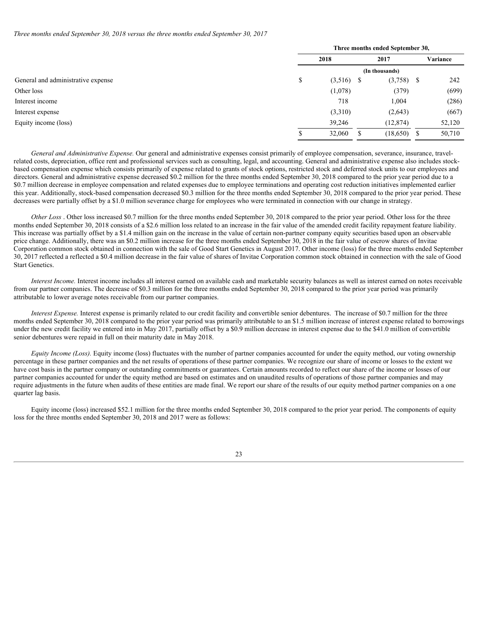*Three months ended September 30, 2018 versus the three months ended September 30, 2017*

| 2018<br>2017<br>Variance<br>(In thousands)<br>$(3,758)$ \$<br>242<br>$(3,516)$ \$<br>۰D<br>(699)<br>(1,078)<br>(379)<br>718<br>(286)<br>1,004<br>(3,310)<br>(667)<br>(2,643)<br>39,246<br>52,120<br>(12, 874)<br>50,710<br>32,060<br>$(18,650)$ \$ |                                    |  | Three months ended September 30, |  |  |  |  |  |  |  |
|----------------------------------------------------------------------------------------------------------------------------------------------------------------------------------------------------------------------------------------------------|------------------------------------|--|----------------------------------|--|--|--|--|--|--|--|
|                                                                                                                                                                                                                                                    |                                    |  |                                  |  |  |  |  |  |  |  |
|                                                                                                                                                                                                                                                    |                                    |  |                                  |  |  |  |  |  |  |  |
|                                                                                                                                                                                                                                                    | General and administrative expense |  |                                  |  |  |  |  |  |  |  |
|                                                                                                                                                                                                                                                    | Other loss                         |  |                                  |  |  |  |  |  |  |  |
|                                                                                                                                                                                                                                                    | Interest income                    |  |                                  |  |  |  |  |  |  |  |
|                                                                                                                                                                                                                                                    | Interest expense                   |  |                                  |  |  |  |  |  |  |  |
|                                                                                                                                                                                                                                                    | Equity income (loss)               |  |                                  |  |  |  |  |  |  |  |
|                                                                                                                                                                                                                                                    |                                    |  |                                  |  |  |  |  |  |  |  |

*General and Administrative Expense.* Our general and administrative expenses consist primarily of employee compensation, severance, insurance, travelrelated costs, depreciation, office rent and professional services such as consulting, legal, and accounting. General and administrative expense also includes stockbased compensation expense which consists primarily of expense related to grants of stock options, restricted stock and deferred stock units to our employees and directors. General and administrative expense decreased \$0.2 million for the three months ended September 30, 2018 compared to the prior year period due to a \$0.7 million decrease in employee compensation and related expenses due to employee terminations and operating cost reduction initiatives implemented earlier this year. Additionally, stock-based compensation decreased \$0.3 million for the three months ended September 30, 2018 compared to the prior year period. These decreases were partially offset by a \$1.0 million severance charge for employees who were terminated in connection with our change in strategy.

*Other Loss* . Other loss increased \$0.7 million for the three months ended September 30, 2018 compared to the prior year period. Other loss for the three months ended September 30, 2018 consists of a \$2.6 million loss related to an increase in the fair value of the amended credit facility repayment feature liability. This increase was partially offset by a \$1.4 million gain on the increase in the value of certain non-partner company equity securities based upon an observable price change. Additionally, there was an \$0.2 million increase for the three months ended September 30, 2018 in the fair value of escrow shares of Invitae Corporation common stock obtained in connection with the sale of Good Start Genetics in August 2017. Other income (loss) for the three months ended September 30, 2017 reflected a reflected a \$0.4 million decrease in the fair value of shares of Invitae Corporation common stock obtained in connection with the sale of Good Start Genetics.

*Interest Income.* Interest income includes all interest earned on available cash and marketable security balances as well as interest earned on notes receivable from our partner companies. The decrease of \$0.3 million for the three months ended September 30, 2018 compared to the prior year period was primarily attributable to lower average notes receivable from our partner companies.

*Interest Expense.* Interest expense is primarily related to our credit facility and convertible senior debentures. The increase of \$0.7 million for the three months ended September 30, 2018 compared to the prior year period was primarily attributable to an \$1.5 million increase of interest expense related to borrowings under the new credit facility we entered into in May 2017, partially offset by a \$0.9 million decrease in interest expense due to the \$41.0 million of convertible senior debentures were repaid in full on their maturity date in May 2018.

*Equity Income (Loss).* Equity income (loss) fluctuates with the number of partner companies accounted for under the equity method, our voting ownership percentage in these partner companies and the net results of operations of these partner companies. We recognize our share of income or losses to the extent we have cost basis in the partner company or outstanding commitments or guarantees. Certain amounts recorded to reflect our share of the income or losses of our partner companies accounted for under the equity method are based on estimates and on unaudited results of operations of those partner companies and may require adjustments in the future when audits of these entities are made final. We report our share of the results of our equity method partner companies on a one quarter lag basis.

Equity income (loss) increased \$52.1 million for the three months ended September 30, 2018 compared to the prior year period. The components of equity loss for the three months ended September 30, 2018 and 2017 were as follows: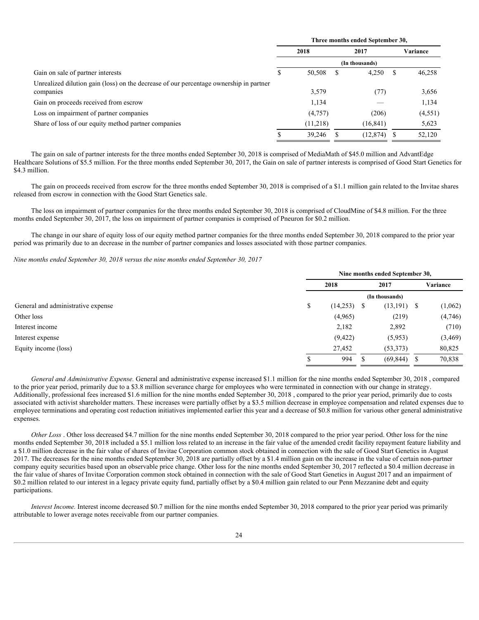|                                                                                                     | Three months ended September 30, |          |  |                   |  |          |  |  |
|-----------------------------------------------------------------------------------------------------|----------------------------------|----------|--|-------------------|--|----------|--|--|
|                                                                                                     |                                  | 2018     |  | 2017              |  | Variance |  |  |
|                                                                                                     |                                  |          |  | (In thousands)    |  |          |  |  |
| Gain on sale of partner interests                                                                   |                                  | 50,508   |  | 4,250             |  | 46,258   |  |  |
| Unrealized dilution gain (loss) on the decrease of our percentage ownership in partner<br>companies |                                  | 3,579    |  | (77)              |  | 3,656    |  |  |
| Gain on proceeds received from escrow                                                               |                                  | 1,134    |  | $\hspace{0.05cm}$ |  | 1,134    |  |  |
| Loss on impairment of partner companies                                                             |                                  | (4,757)  |  | (206)             |  | (4, 551) |  |  |
| Share of loss of our equity method partner companies                                                |                                  | (11,218) |  | (16, 841)         |  | 5,623    |  |  |
|                                                                                                     |                                  | 39,246   |  | $(12,874)$ \$     |  | 52,120   |  |  |

The gain on sale of partner interests for the three months ended September 30, 2018 is comprised of MediaMath of \$45.0 million and AdvantEdge Healthcare Solutions of \$5.5 million. For the three months ended September 30, 2017, the Gain on sale of partner interests is comprised of Good Start Genetics for \$4.3 million.

The gain on proceeds received from escrow for the three months ended September 30, 2018 is comprised of a \$1.1 million gain related to the Invitae shares released from escrow in connection with the Good Start Genetics sale.

The loss on impairment of partner companies for the three months ended September 30, 2018 is comprised of CloudMine of \$4.8 million. For the three months ended September 30, 2017, the loss on impairment of partner companies is comprised of Pneuron for \$0.2 million.

The change in our share of equity loss of our equity method partner companies for the three months ended September 30, 2018 compared to the prior year period was primarily due to an decrease in the number of partner companies and losses associated with those partner companies.

*Nine months ended September 30, 2018 versus the nine months ended September 30, 2017*

|                                    | Nine months ended September 30, |                |      |               |          |  |  |  |
|------------------------------------|---------------------------------|----------------|------|---------------|----------|--|--|--|
|                                    | 2018                            |                | 2017 |               | Variance |  |  |  |
|                                    |                                 | (In thousands) |      |               |          |  |  |  |
| General and administrative expense | ۰D                              | (14,253)       | Ъ.   | $(13,191)$ \$ | (1,062)  |  |  |  |
| Other loss                         |                                 | (4,965)        |      | (219)         | (4,746)  |  |  |  |
| Interest income                    |                                 | 2,182          |      | 2,892         | (710)    |  |  |  |
| Interest expense                   |                                 | (9, 422)       |      | (5,953)       | (3, 469) |  |  |  |
| Equity income (loss)               |                                 | 27,452         |      | (53, 373)     | 80,825   |  |  |  |
|                                    |                                 | 994            |      | $(69,844)$ \$ | 70,838   |  |  |  |

*General and Administrative Expense.* General and administrative expense increased \$1.1 million for the nine months ended September 30, 2018 , compared to the prior year period, primarily due to a \$3.8 million severance charge for employees who were terminated in connection with our change in strategy. Additionally, professional fees increased \$1.6 million for the nine months ended September 30, 2018 , compared to the prior year period, primarily due to costs associated with activist shareholder matters. These increases were partially offset by a \$3.5 million decrease in employee compensation and related expenses due to employee terminations and operating cost reduction initiatives implemented earlier this year and a decrease of \$0.8 million for various other general administrative expenses.

*Other Loss* . Other loss decreased \$4.7 million for the nine months ended September 30, 2018 compared to the prior year period. Other loss for the nine months ended September 30, 2018 included a \$5.1 million loss related to an increase in the fair value of the amended credit facility repayment feature liability and a \$1.0 million decrease in the fair value of shares of Invitae Corporation common stock obtained in connection with the sale of Good Start Genetics in August 2017. The decreases for the nine months ended September 30, 2018 are partially offset by a \$1.4 million gain on the increase in the value of certain non-partner company equity securities based upon an observable price change. Other loss for the nine months ended September 30, 2017 reflected a \$0.4 million decrease in the fair value of shares of Invitae Corporation common stock obtained in connection with the sale of Good Start Genetics in August 2017 and an impairment of \$0.2 million related to our interest in a legacy private equity fund, partially offset by a \$0.4 million gain related to our Penn Mezzanine debt and equity participations.

*Interest Income.* Interest income decreased \$0.7 million for the nine months ended September 30, 2018 compared to the prior year period was primarily attributable to lower average notes receivable from our partner companies.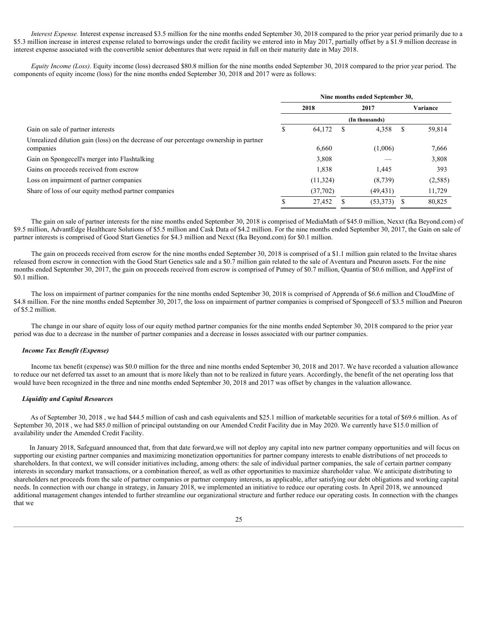*Interest Expense.* Interest expense increased \$3.5 million for the nine months ended September 30, 2018 compared to the prior year period primarily due to a \$5.3 million increase in interest expense related to borrowings under the credit facility we entered into in May 2017, partially offset by a \$1.9 million decrease in interest expense associated with the convertible senior debentures that were repaid in full on their maturity date in May 2018.

*Equity Income (Loss).* Equity income (loss) decreased \$80.8 million for the nine months ended September 30, 2018 compared to the prior year period. The components of equity income (loss) for the nine months ended September 30, 2018 and 2017 were as follows:

|                                                                                                     | Nine months ended September 30, |           |  |                   |          |          |  |  |
|-----------------------------------------------------------------------------------------------------|---------------------------------|-----------|--|-------------------|----------|----------|--|--|
|                                                                                                     |                                 | 2018      |  | 2017              | Variance |          |  |  |
|                                                                                                     |                                 |           |  | (In thousands)    |          |          |  |  |
| Gain on sale of partner interests                                                                   |                                 | 64,172    |  | 4,358             | - 55     | 59,814   |  |  |
| Unrealized dilution gain (loss) on the decrease of our percentage ownership in partner<br>companies |                                 | 6,660     |  | (1,006)           |          | 7,666    |  |  |
| Gain on Spongecell's merger into Flashtalking                                                       |                                 | 3,808     |  | $\hspace{0.05cm}$ |          | 3,808    |  |  |
| Gains on proceeds received from escrow                                                              |                                 | 1,838     |  | 1,445             |          | 393      |  |  |
| Loss on impairment of partner companies                                                             |                                 | (11, 324) |  | (8, 739)          |          | (2, 585) |  |  |
| Share of loss of our equity method partner companies                                                |                                 | (37,702)  |  | (49, 431)         |          | 11,729   |  |  |
|                                                                                                     |                                 | 27,452    |  | $(53,373)$ \$     |          | 80,825   |  |  |

The gain on sale of partner interests for the nine months ended September 30, 2018 is comprised of MediaMath of \$45.0 million, Nexxt (fka Beyond.com) of \$9.5 million, AdvantEdge Healthcare Solutions of \$5.5 million and Cask Data of \$4.2 million. For the nine months ended September 30, 2017, the Gain on sale of partner interests is comprised of Good Start Genetics for \$4.3 million and Nexxt (fka Beyond.com) for \$0.1 million.

The gain on proceeds received from escrow for the nine months ended September 30, 2018 is comprised of a \$1.1 million gain related to the Invitae shares released from escrow in connection with the Good Start Genetics sale and a \$0.7 million gain related to the sale of Aventura and Pneuron assets. For the nine months ended September 30, 2017, the gain on proceeds received from escrow is comprised of Putney of \$0.7 million, Quantia of \$0.6 million, and AppFirst of \$0.1 million.

The loss on impairment of partner companies for the nine months ended September 30, 2018 is comprised of Apprenda of \$6.6 million and CloudMine of \$4.8 million. For the nine months ended September 30, 2017, the loss on impairment of partner companies is comprised of Spongecell of \$3.5 million and Pneuron of \$5.2 million.

The change in our share of equity loss of our equity method partner companies for the nine months ended September 30, 2018 compared to the prior year period was due to a decrease in the number of partner companies and a decrease in losses associated with our partner companies.

#### *Income Tax Benefit (Expense)*

Income tax benefit (expense) was \$0.0 million for the three and nine months ended September 30, 2018 and 2017. We have recorded a valuation allowance to reduce our net deferred tax asset to an amount that is more likely than not to be realized in future years. Accordingly, the benefit of the net operating loss that would have been recognized in the three and nine months ended September 30, 2018 and 2017 was offset by changes in the valuation allowance.

#### *Liquidity and Capital Resources*

As of September 30, 2018 , we had \$44.5 million of cash and cash equivalents and \$25.1 million of marketable securities for a total of \$69.6 million. As of September 30, 2018 , we had \$85.0 million of principal outstanding on our Amended Credit Facility due in May 2020. We currently have \$15.0 million of availability under the Amended Credit Facility.

In January 2018, Safeguard announced that, from that date forward,we will not deploy any capital into new partner company opportunities and will focus on supporting our existing partner companies and maximizing monetization opportunities for partner company interests to enable distributions of net proceeds to shareholders. In that context, we will consider initiatives including, among others: the sale of individual partner companies, the sale of certain partner company interests in secondary market transactions, or a combination thereof, as well as other opportunities to maximize shareholder value. We anticipate distributing to shareholders net proceeds from the sale of partner companies or partner company interests, as applicable, after satisfying our debt obligations and working capital needs. In connection with our change in strategy, in January 2018, we implemented an initiative to reduce our operating costs. In April 2018, we announced additional management changes intended to further streamline our organizational structure and further reduce our operating costs. In connection with the changes that we have the state of  $\mathbb{R}^n$  and  $\mathbb{R}^n$  are the state of  $\mathbb{R}^n$  and  $\mathbb{R}^n$  are the state of  $\mathbb{R}^n$  and  $\mathbb{R}^n$  are the state of  $\mathbb{R}^n$  and  $\mathbb{R}^n$  are the state of  $\mathbb{R}^n$  and  $\mathbb{R}^n$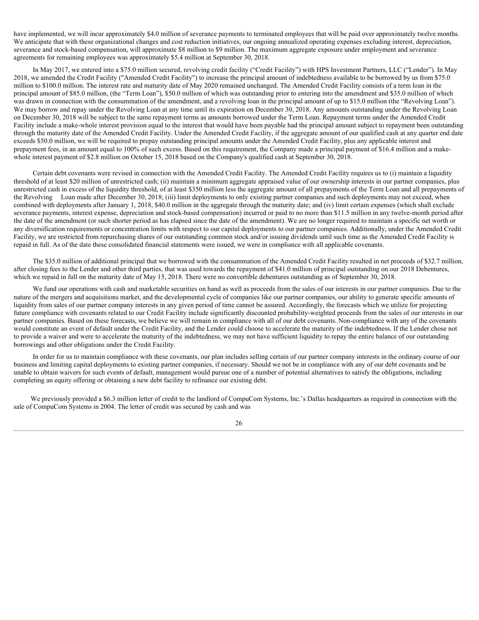have implemented, we will incur approximately \$4.0 million of severance payments to terminated employees that will be paid over approximately twelve months. We anticipate that with these organizational changes and cost reduction initiatives, our ongoing annualized operating expenses excluding interest, depreciation, severance and stock-based compensation, will approximate \$8 million to \$9 million. The maximum aggregate exposure under employment and severance agreements for remaining employees was approximately \$5.4 million at September 30, 2018.

In May 2017, we entered into a \$75.0 million secured, revolving credit facility ("Credit Facility") with HPS Investment Partners, LLC ("Lender"). In May 2018, we amended the Credit Facility ("Amended Credit Facility") to increase the principal amount of indebtedness available to be borrowed by us from \$75.0 million to \$100.0 million. The interest rate and maturity date of May 2020 remained unchanged. The Amended Credit Facility consists of a term loan in the principal amount of \$85.0 million, (the "Term Loan"), \$50.0 million of which was outstanding prior to entering into the amendment and \$35.0 million of which was drawn in connection with the consummation of the amendment, and a revolving loan in the principal amount of up to \$15.0 million (the "Revolving Loan"). We may borrow and repay under the Revolving Loan at any time until its expiration on December 30, 2018. Any amounts outstanding under the Revolving Loan on December 30, 2018 will be subject to the same repayment terms as amounts borrowed under the Term Loan. Repayment terms under the Amended Credit Facility include a make-whole interest provision equal to the interest that would have been payable had the principal amount subject to repayment been outstanding through the maturity date of the Amended Credit Facility. Under the Amended Credit Facility, if the aggregate amount of our qualified cash at any quarter end date exceeds \$50.0 million, we will be required to prepay outstanding principal amounts under the Amended Credit Facility, plus any applicable interest and prepayment fees, in an amount equal to 100% of such excess. Based on this requirement, the Company made a principal payment of \$16.4 million and a makewhole interest payment of \$2.8 million on October 15, 2018 based on the Company's qualified cash at September 30, 2018.

Certain debt covenants were revised in connection with the Amended Credit Facility. The Amended Credit Facility requires us to (i) maintain a liquidity threshold of at least \$20 million of unrestricted cash; (ii) maintain a minimum aggregate appraised value of our ownership interests in our partner companies, plus unrestricted cash in excess of the liquidity threshold, of at least \$350 million less the aggregate amount of all prepayments of the Term Loan and all prepayments of the Revolving Loan made after December 30, 2018; (iii) limit deployments to only existing partner companies and such deployments may not exceed, when combined with deployments after January 1, 2018, \$40.0 million in the aggregate through the maturity date; and (iv) limit certain expenses (which shall exclude severance payments, interest expense, depreciation and stock-based compensation) incurred or paid to no more than \$11.5 million in any twelve-month period after the date of the amendment (or such shorter period as has elapsed since the date of the amendment). We are no longer required to maintain a specific net worth or any diversification requirements or concentration limits with respect to our capital deployments to our partner companies. Additionally, under the Amended Credit Facility, we are restricted from repurchasing shares of our outstanding common stock and/or issuing dividends until such time as the Amended Credit Facility is repaid in full. As of the date these consolidated financial statements were issued, we were in compliance with all applicable covenants.

The \$35.0 million of additional principal that we borrowed with the consummation of the Amended Credit Facility resulted in net proceeds of \$32.7 million, after closing fees to the Lender and other third parties, that was used towards the repayment of \$41.0 million of principal outstanding on our 2018 Debentures, which we repaid in full on the maturity date of May 15, 2018. There were no convertible debentures outstanding as of September 30, 2018.

We fund our operations with cash and marketable securities on hand as well as proceeds from the sales of our interests in our partner companies. Due to the nature of the mergers and acquisitions market, and the developmental cycle of companies like our partner companies, our ability to generate specific amounts of liquidity from sales of our partner company interests in any given period of time cannot be assured. Accordingly, the forecasts which we utilize for projecting future compliance with covenants related to our Credit Facility include significantly discounted probability-weighted proceeds from the sales of our interests in our partner companies. Based on these forecasts, we believe we will remain in compliance with all of our debt covenants. Non-compliance with any of the covenants would constitute an event of default under the Credit Facility, and the Lender could choose to accelerate the maturity of the indebtedness. If the Lender chose not to provide a waiver and were to accelerate the maturity of the indebtedness, we may not have sufficient liquidity to repay the entire balance of our outstanding borrowings and other obligations under the Credit Facility.

In order for us to maintain compliance with these covenants, our plan includes selling certain of our partner company interests in the ordinary course of our business and limiting capital deployments to existing partner companies, if necessary. Should we not be in compliance with any of our debt covenants and be unable to obtain waivers for such events of default, management would pursue one of a number of potential alternatives to satisfy the obligations, including completing an equity offering or obtaining a new debt facility to refinance our existing debt.

We previously provided a \$6.3 million letter of credit to the landlord of CompuCom Systems, Inc.'s Dallas headquarters as required in connection with the sale of CompuCom Systems in 2004. The letter of credit was secured by cash and was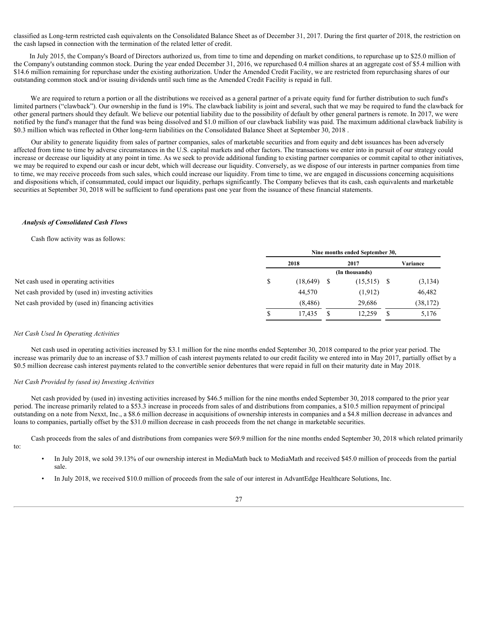classified as Long-term restricted cash equivalents on the Consolidated Balance Sheet as of December 31, 2017. During the first quarter of 2018, the restriction on the cash lapsed in connection with the termination of the related letter of credit.

In July 2015, the Company's Board of Directors authorized us, from time to time and depending on market conditions, to repurchase up to \$25.0 million of the Company's outstanding common stock. During the year ended December 31, 2016, we repurchased 0.4 million shares at an aggregate cost of \$5.4 million with \$14.6 million remaining for repurchase under the existing authorization. Under the Amended Credit Facility, we are restricted from repurchasing shares of our outstanding common stock and/or issuing dividends until such time as the Amended Credit Facility is repaid in full.

We are required to return a portion or all the distributions we received as a general partner of a private equity fund for further distribution to such fund's limited partners ("clawback"). Our ownership in the fund is 19%. The clawback liability is joint and several, such that we may be required to fund the clawback for other general partners should they default. We believe our potential liability due to the possibility of default by other general partners is remote. In 2017, we were notified by the fund's manager that the fund was being dissolved and \$1.0 million of our clawback liability was paid. The maximum additional clawback liability is \$0.3 million which was reflected in Other long-term liabilities on the Consolidated Balance Sheet at September 30, 2018 .

Our ability to generate liquidity from sales of partner companies, sales of marketable securities and from equity and debt issuances has been adversely affected from time to time by adverse circumstances in the U.S. capital markets and other factors. The transactions we enter into in pursuit of our strategy could increase or decrease our liquidity at any point in time. As we seek to provide additional funding to existing partner companies or commit capital to other initiatives, we may be required to expend our cash or incur debt, which will decrease our liquidity. Conversely, as we dispose of our interests in partner companies from time to time, we may receive proceeds from such sales, which could increase our liquidity. From time to time, we are engaged in discussions concerning acquisitions and dispositions which, if consummated, could impact our liquidity, perhaps significantly. The Company believes that its cash, cash equivalents and marketable securities at September 30, 2018 will be sufficient to fund operations past one year from the issuance of these financial statements.

#### *Analysis of Consolidated Cash Flows*

#### Cash flow activity was as follows:

|                                                     |                | Nine months ended September 30, |      |               |  |           |  |  |  |  |
|-----------------------------------------------------|----------------|---------------------------------|------|---------------|--|-----------|--|--|--|--|
|                                                     | 2018           |                                 | 2017 |               |  | Variance  |  |  |  |  |
|                                                     | (In thousands) |                                 |      |               |  |           |  |  |  |  |
| Net cash used in operating activities               |                | $(18,649)$ \$                   |      | $(15,515)$ \$ |  | (3,134)   |  |  |  |  |
| Net cash provided by (used in) investing activities |                | 44,570                          |      | (1,912)       |  | 46,482    |  |  |  |  |
| Net cash provided by (used in) financing activities |                | (8, 486)                        |      | 29,686        |  | (38, 172) |  |  |  |  |
|                                                     |                | 17,435                          |      | 12,259        |  | 5,176     |  |  |  |  |
|                                                     |                |                                 |      |               |  |           |  |  |  |  |

#### *Net Cash Used In Operating Activities*

Net cash used in operating activities increased by \$3.1 million for the nine months ended September 30, 2018 compared to the prior year period. The increase was primarily due to an increase of \$3.7 million of cash interest payments related to our credit facility we entered into in May 2017, partially offset by a \$0.5 million decrease cash interest payments related to the convertible senior debentures that were repaid in full on their maturity date in May 2018.

### *Net Cash Provided by (used in) Investing Activities*

Net cash provided by (used in) investing activities increased by \$46.5 million for the nine months ended September 30, 2018 compared to the prior year period. The increase primarily related to a \$53.3 increase in proceeds from sales of and distributions from companies, a \$10.5 million repayment of principal outstanding on a note from Nexxt, Inc., a \$8.6 million decrease in acquisitions of ownership interests in companies and a \$4.8 million decrease in advances and loans to companies, partially offset by the \$31.0 million decrease in cash proceeds from the net change in marketable securities.

Cash proceeds from the sales of and distributions from companies were \$69.9 million for the nine months ended September 30, 2018 which related primarily to:

- In July 2018, we sold 39.13% of our ownership interest in MediaMath back to MediaMath and received \$45.0 million of proceeds from the partial sale.
- In July 2018, we received \$10.0 million of proceeds from the sale of our interest in AdvantEdge Healthcare Solutions, Inc.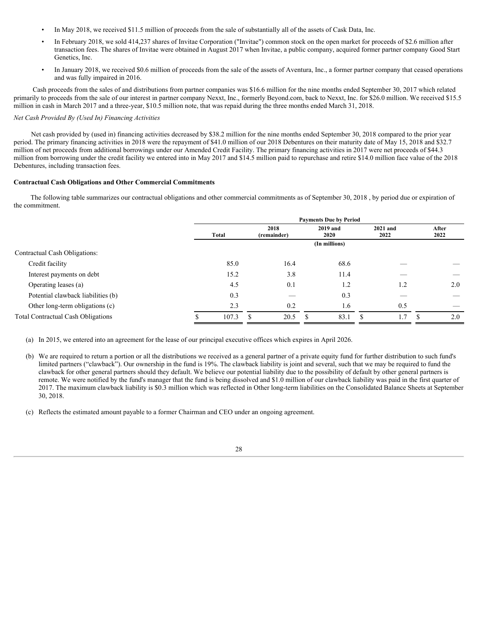- In May 2018, we received \$11.5 million of proceeds from the sale of substantially all of the assets of Cask Data, Inc.
- In February 2018, we sold 414,237 shares of Invitae Corporation ("Invitae") common stock on the open market for proceeds of \$2.6 million after transaction fees. The shares of Invitae were obtained in August 2017 when Invitae, a public company, acquired former partner company Good Start Genetics, Inc.
- In January 2018, we received \$0.6 million of proceeds from the sale of the assets of Aventura, Inc., a former partner company that ceased operations and was fully impaired in 2016.

Cash proceeds from the sales of and distributions from partner companies was \$16.6 million for the nine months ended September 30, 2017 which related primarily to proceeds from the sale of our interest in partner company Nexxt, Inc., formerly Beyond.com, back to Nexxt, Inc. for \$26.0 million. We received \$15.5 million in cash in March 2017 and a three-year, \$10.5 million note, that was repaid during the three months ended March 31, 2018.

# *Net Cash Provided By (Used In) Financing Activities*

Net cash provided by (used in) financing activities decreased by \$38.2 million for the nine months ended September 30, 2018 compared to the prior year period. The primary financing activities in 2018 were the repayment of \$41.0 million of our 2018 Debentures on their maturity date of May 15, 2018 and \$32.7 million of net proceeds from additional borrowings under our Amended Credit Facility. The primary financing activities in 2017 were net proceeds of \$44.3 million from borrowing under the credit facility we entered into in May 2017 and \$14.5 million paid to repurchase and retire \$14.0 million face value of the 2018 Debentures, including transaction fees.

# **Contractual Cash Obligations and Other Commercial Commitments**

The following table summarizes our contractual obligations and other commercial commitments as of September 30, 2018 , by period due or expiration of the commitment.

|                                           | <b>Payments Due by Period</b> |                                 |                  |                                 |                                 |  |  |  |  |  |  |  |
|-------------------------------------------|-------------------------------|---------------------------------|------------------|---------------------------------|---------------------------------|--|--|--|--|--|--|--|
|                                           | Total                         | 2018<br>(remainder)             | 2019 and<br>2020 | 2021 and<br>2022                | After<br>2022                   |  |  |  |  |  |  |  |
|                                           |                               |                                 | (In millions)    |                                 |                                 |  |  |  |  |  |  |  |
| Contractual Cash Obligations:             |                               |                                 |                  |                                 |                                 |  |  |  |  |  |  |  |
| Credit facility                           | 85.0                          | 16.4                            | 68.6             |                                 |                                 |  |  |  |  |  |  |  |
| Interest payments on debt                 | 15.2                          | 3.8                             | 11.4             | $\hspace{0.1mm}-\hspace{0.1mm}$ | $\hspace{0.1mm}-\hspace{0.1mm}$ |  |  |  |  |  |  |  |
| Operating leases (a)                      | 4.5                           | 0.1                             | 1.2              | 1.2                             | 2.0                             |  |  |  |  |  |  |  |
| Potential clawback liabilities (b)        | 0.3                           | $\hspace{0.1mm}-\hspace{0.1mm}$ | 0.3              | $\hspace{0.05cm}$               | $\hspace{0.1mm}-\hspace{0.1mm}$ |  |  |  |  |  |  |  |
| Other long-term obligations (c)           | $\sim$<br>2.3                 | 0.2                             | 1.6              | 0.5                             |                                 |  |  |  |  |  |  |  |
| <b>Total Contractual Cash Obligations</b> | 107.3                         | 20.5                            | 83.1             | 1.7                             | 2.0                             |  |  |  |  |  |  |  |
|                                           |                               |                                 |                  |                                 |                                 |  |  |  |  |  |  |  |

(a) In 2015, we entered into an agreement for the lease of our principal executive offices which expires in April 2026.

(b) We are required to return a portion or all the distributions we received as a general partner of a private equity fund for further distribution to such fund's limited partners ("clawback"). Our ownership in the fund is 19%. The clawback liability is joint and several, such that we may be required to fund the clawback for other general partners should they default. We believe our potential liability due to the possibility of default by other general partners is remote. We were notified by the fund's manager that the fund is being dissolved and \$1.0 million of our clawback liability was paid in the first quarter of 2017. The maximum clawback liability is \$0.3 million which was reflected in Other long-term liabilities on the Consolidated Balance Sheets at September 30, 2018.

(c) Reflects the estimated amount payable to a former Chairman and CEO under an ongoing agreement.

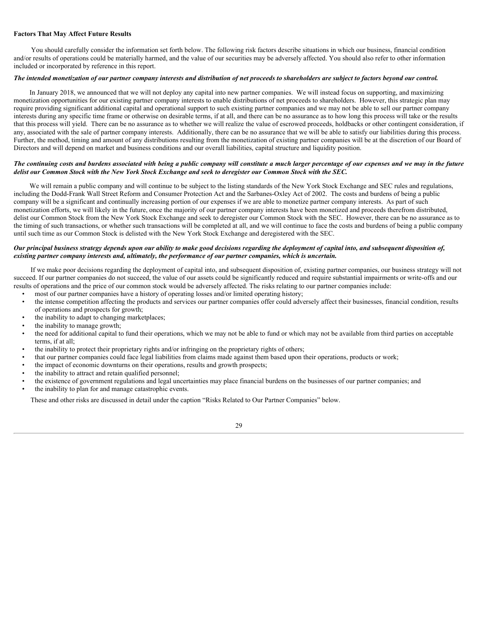## **Factors That May Affect Future Results**

You should carefully consider the information set forth below. The following risk factors describe situations in which our business, financial condition and/or results of operations could be materially harmed, and the value of our securities may be adversely affected. You should also refer to other information included or incorporated by reference in this report.

## *The intended monetization of our partner company interests and distribution of net proceeds to shareholders are subject to factors beyond our control.*

In January 2018, we announced that we will not deploy any capital into new partner companies. We will instead focus on supporting, and maximizing monetization opportunities for our existing partner company interests to enable distributions of net proceeds to shareholders. However, this strategic plan may require providing significant additional capital and operational support to such existing partner companies and we may not be able to sell our partner company interests during any specific time frame or otherwise on desirable terms, if at all, and there can be no assurance as to how long this process will take or the results that this process will yield. There can be no assurance as to whether we will realize the value of escrowed proceeds, holdbacks or other contingent consideration, if any, associated with the sale of partner company interests. Additionally, there can be no assurance that we will be able to satisfy our liabilities during this process. Further, the method, timing and amount of any distributions resulting from the monetization of existing partner companies will be at the discretion of our Board of Directors and will depend on market and business conditions and our overall liabilities, capital structure and liquidity position.

## *The continuing costs and burdens associated with being a public company will constitute a much larger percentage of our expenses and we may in the future delist our Common Stock with the New York Stock Exchange and seek to deregister our Common Stock with the SEC.*

We will remain a public company and will continue to be subject to the listing standards of the New York Stock Exchange and SEC rules and regulations, including the Dodd-Frank Wall Street Reform and Consumer Protection Act and the Sarbanes-Oxley Act of 2002. The costs and burdens of being a public company will be a significant and continually increasing portion of our expenses if we are able to monetize partner company interests. As part of such monetization efforts, we will likely in the future, once the majority of our partner company interests have been monetized and proceeds therefrom distributed, delist our Common Stock from the New York Stock Exchange and seek to deregister our Common Stock with the SEC. However, there can be no assurance as to the timing of such transactions, or whether such transactions will be completed at all, and we will continue to face the costs and burdens of being a public company until such time as our Common Stock is delisted with the New York Stock Exchange and deregistered with the SEC.

#### *Our principal business strategy depends upon our ability to make good decisions regarding the deployment of capital into, and subsequent disposition of, existing partner company interests and, ultimately, the performance of our partner companies, which is uncertain.*

If we make poor decisions regarding the deployment of capital into, and subsequent disposition of, existing partner companies, our business strategy will not succeed. If our partner companies do not succeed, the value of our assets could be significantly reduced and require substantial impairments or write-offs and our results of operations and the price of our common stock would be adversely affected. The risks relating to our partner companies include:

- most of our partner companies have a history of operating losses and/or limited operating history;
- the intense competition affecting the products and services our partner companies offer could adversely affect their businesses, financial condition, results of operations and prospects for growth;
- the inability to adapt to changing marketplaces;
- the inability to manage growth;
- the need for additional capital to fund their operations, which we may not be able to fund or which may not be available from third parties on acceptable terms, if at all;
- the inability to protect their proprietary rights and/or infringing on the proprietary rights of others;
- that our partner companies could face legal liabilities from claims made against them based upon their operations, products or work;
- the impact of economic downturns on their operations, results and growth prospects;
- the inability to attract and retain qualified personnel;
- the existence of government regulations and legal uncertainties may place financial burdens on the businesses of our partner companies; and
- the inability to plan for and manage catastrophic events.

These and other risks are discussed in detail under the caption "Risks Related to Our Partner Companies" below.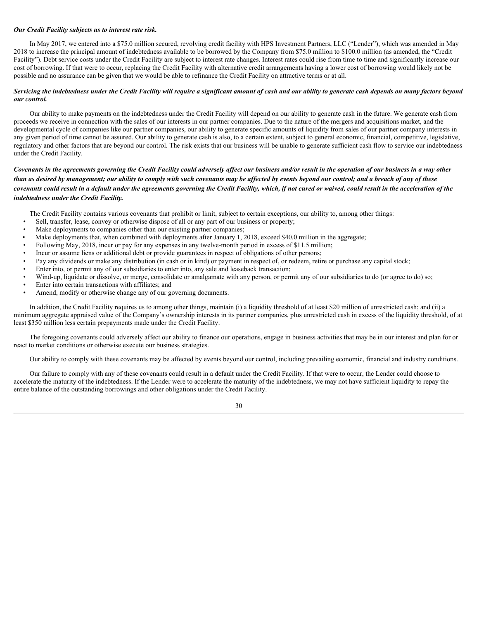# *Our Credit Facility subjects us to interest rate risk.*

In May 2017, we entered into a \$75.0 million secured, revolving credit facility with HPS Investment Partners, LLC ("Lender"), which was amended in May 2018 to increase the principal amount of indebtedness available to be borrowed by the Company from \$75.0 million to \$100.0 million (as amended, the "Credit Facility"). Debt service costs under the Credit Facility are subject to interest rate changes. Interest rates could rise from time to time and significantly increase our cost of borrowing. If that were to occur, replacing the Credit Facility with alternative credit arrangements having a lower cost of borrowing would likely not be possible and no assurance can be given that we would be able to refinance the Credit Facility on attractive terms or at all.

# *Servicing the indebtedness under the Credit Facility will require a significant amount of cash and our ability to generate cash depends on many factors beyond our control.*

Our ability to make payments on the indebtedness under the Credit Facility will depend on our ability to generate cash in the future. We generate cash from proceeds we receive in connection with the sales of our interests in our partner companies. Due to the nature of the mergers and acquisitions market, and the developmental cycle of companies like our partner companies, our ability to generate specific amounts of liquidity from sales of our partner company interests in any given period of time cannot be assured. Our ability to generate cash is also, to a certain extent, subject to general economic, financial, competitive, legislative, regulatory and other factors that are beyond our control. The risk exists that our business will be unable to generate sufficient cash flow to service our indebtedness under the Credit Facility.

# *Covenants in the agreements governing the Credit Facility could adversely affect our business and/or result in the operation of our business in a way other than as desired by management; our ability to comply with such covenants may be affected by events beyond our control; and a breach of any of these covenants could result in a default under the agreements governing the Credit Facility, which, if not cured or waived, could result in the acceleration of the indebtedness under the Credit Facility.*

The Credit Facility contains various covenants that prohibit or limit, subject to certain exceptions, our ability to, among other things:

- Sell, transfer, lease, convey or otherwise dispose of all or any part of our business or property;
- Make deployments to companies other than our existing partner companies;
- Make deployments that, when combined with deployments after January 1, 2018, exceed \$40.0 million in the aggregate;
- Following May, 2018, incur or pay for any expenses in any twelve-month period in excess of \$11.5 million;
- Incur or assume liens or additional debt or provide guarantees in respect of obligations of other persons;
- Pay any dividends or make any distribution (in cash or in kind) or payment in respect of, or redeem, retire or purchase any capital stock;
- Enter into, or permit any of our subsidiaries to enter into, any sale and leaseback transaction;
- Wind-up, liquidate or dissolve, or merge, consolidate or amalgamate with any person, or permit any of our subsidiaries to do (or agree to do) so;
- Enter into certain transactions with affiliates; and
- Amend, modify or otherwise change any of our governing documents.

In addition, the Credit Facility requires us to among other things, maintain (i) a liquidity threshold of at least \$20 million of unrestricted cash; and (ii) a minimum aggregate appraised value of the Company's ownership interests in its partner companies, plus unrestricted cash in excess of the liquidity threshold, of at least \$350 million less certain prepayments made under the Credit Facility.

The foregoing covenants could adversely affect our ability to finance our operations, engage in business activities that may be in our interest and plan for or react to market conditions or otherwise execute our business strategies.

Our ability to comply with these covenants may be affected by events beyond our control, including prevailing economic, financial and industry conditions.

Our failure to comply with any of these covenants could result in a default under the Credit Facility. If that were to occur, the Lender could choose to accelerate the maturity of the indebtedness. If the Lender were to accelerate the maturity of the indebtedness, we may not have sufficient liquidity to repay the entire balance of the outstanding borrowings and other obligations under the Credit Facility.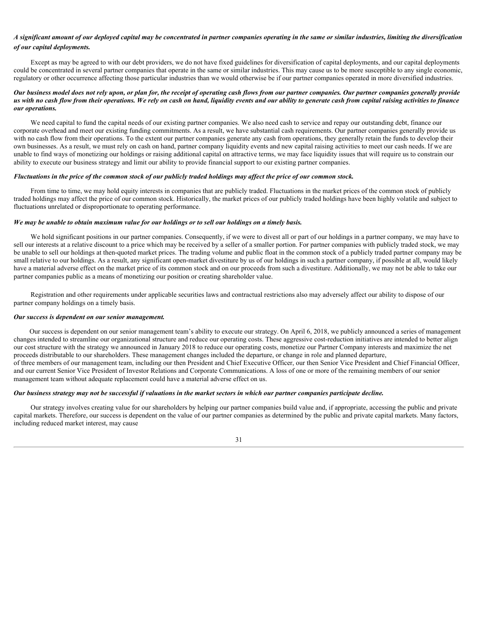# *A significant amount of our deployed capital may be concentrated in partner companies operating in the same or similar industries, limiting the diversification of our capital deployments.*

Except as may be agreed to with our debt providers, we do not have fixed guidelines for diversification of capital deployments, and our capital deployments could be concentrated in several partner companies that operate in the same or similar industries. This may cause us to be more susceptible to any single economic, regulatory or other occurrence affecting those particular industries than we would otherwise be if our partner companies operated in more diversified industries.

## *Our business model does not rely upon, or plan for, the receipt of operating cash flows from our partner companies. Our partner companies generally provide us with no cash flow from their operations. We rely on cash on hand, liquidity events and our ability to generate cash from capital raising activities to finance our operations.*

We need capital to fund the capital needs of our existing partner companies. We also need cash to service and repay our outstanding debt, finance our corporate overhead and meet our existing funding commitments. As a result, we have substantial cash requirements. Our partner companies generally provide us with no cash flow from their operations. To the extent our partner companies generate any cash from operations, they generally retain the funds to develop their own businesses. As a result, we must rely on cash on hand, partner company liquidity events and new capital raising activities to meet our cash needs. If we are unable to find ways of monetizing our holdings or raising additional capital on attractive terms, we may face liquidity issues that will require us to constrain our ability to execute our business strategy and limit our ability to provide financial support to our existing partner companies.

#### *Fluctuations in the price of the common stock of our publicly traded holdings may affect the price of our common stock.*

From time to time, we may hold equity interests in companies that are publicly traded. Fluctuations in the market prices of the common stock of publicly traded holdings may affect the price of our common stock. Historically, the market prices of our publicly traded holdings have been highly volatile and subject to fluctuations unrelated or disproportionate to operating performance.

#### *We may be unable to obtain maximum value for our holdings or to sell our holdings on a timely basis.*

We hold significant positions in our partner companies. Consequently, if we were to divest all or part of our holdings in a partner company, we may have to sell our interests at a relative discount to a price which may be received by a seller of a smaller portion. For partner companies with publicly traded stock, we may be unable to sell our holdings at then-quoted market prices. The trading volume and public float in the common stock of a publicly traded partner company may be small relative to our holdings. As a result, any significant open-market divestiture by us of our holdings in such a partner company, if possible at all, would likely have a material adverse effect on the market price of its common stock and on our proceeds from such a divestiture. Additionally, we may not be able to take our partner companies public as a means of monetizing our position or creating shareholder value.

Registration and other requirements under applicable securities laws and contractual restrictions also may adversely affect our ability to dispose of our partner company holdings on a timely basis.

#### *Our success is dependent on our senior management.*

Our success is dependent on our senior management team's ability to execute our strategy. On April 6, 2018, we publicly announced a series of management changes intended to streamline our organizational structure and reduce our operating costs. These aggressive cost-reduction initiatives are intended to better align our cost structure with the strategy we announced in January 2018 to reduce our operating costs, monetize our Partner Company interests and maximize the net proceeds distributable to our shareholders. These management changes included the departure, or change in role and planned departure, of three members of our management team, including our then President and Chief Executive Officer, our then Senior Vice President and Chief Financial Officer, and our current Senior Vice President of Investor Relations and Corporate Communications. A loss of one or more of the remaining members of our senior management team without adequate replacement could have a material adverse effect on us.

### *Our business strategy may not be successful if valuations in the market sectors in which our partner companies participate decline.*

Our strategy involves creating value for our shareholders by helping our partner companies build value and, if appropriate, accessing the public and private capital markets. Therefore, our success is dependent on the value of our partner companies as determined by the public and private capital markets. Many factors, including reduced market interest, may cause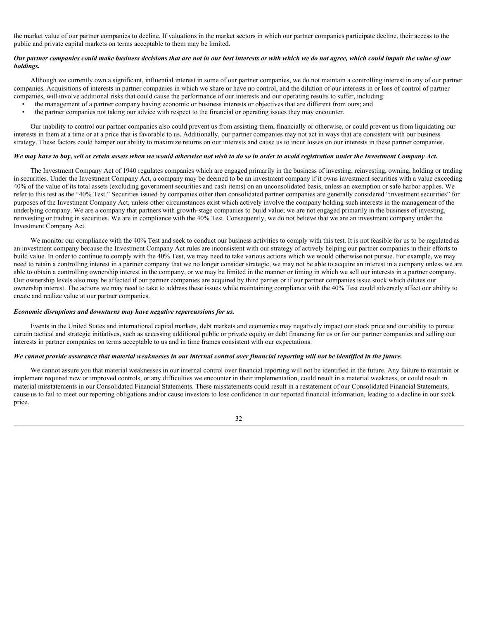the market value of our partner companies to decline. If valuations in the market sectors in which our partner companies participate decline, their access to the public and private capital markets on terms acceptable to them may be limited.

## *Our partner companies could make business decisions that are not in our best interests or with which we do not agree, which could impair the value of our holdings.*

Although we currently own a significant, influential interest in some of our partner companies, we do not maintain a controlling interest in any of our partner companies. Acquisitions of interests in partner companies in which we share or have no control, and the dilution of our interests in or loss of control of partner companies, will involve additional risks that could cause the performance of our interests and our operating results to suffer, including:

- the management of a partner company having economic or business interests or objectives that are different from ours; and
- the partner companies not taking our advice with respect to the financial or operating issues they may encounter.

Our inability to control our partner companies also could prevent us from assisting them, financially or otherwise, or could prevent us from liquidating our interests in them at a time or at a price that is favorable to us. Additionally, our partner companies may not act in ways that are consistent with our business strategy. These factors could hamper our ability to maximize returns on our interests and cause us to incur losses on our interests in these partner companies.

#### *We may have to buy, sell or retain assets when we would otherwise not wish to do so in order to avoid registration under the Investment Company Act.*

The Investment Company Act of 1940 regulates companies which are engaged primarily in the business of investing, reinvesting, owning, holding or trading in securities. Under the Investment Company Act, a company may be deemed to be an investment company if it owns investment securities with a value exceeding 40% of the value of its total assets (excluding government securities and cash items) on an unconsolidated basis, unless an exemption or safe harbor applies. We refer to this test as the "40% Test." Securities issued by companies other than consolidated partner companies are generally considered "investment securities" for purposes of the Investment Company Act, unless other circumstances exist which actively involve the company holding such interests in the management of the underlying company. We are a company that partners with growth-stage companies to build value; we are not engaged primarily in the business of investing, reinvesting or trading in securities. We are in compliance with the 40% Test. Consequently, we do not believe that we are an investment company under the Investment Company Act.

We monitor our compliance with the 40% Test and seek to conduct our business activities to comply with this test. It is not feasible for us to be regulated as an investment company because the Investment Company Act rules are inconsistent with our strategy of actively helping our partner companies in their efforts to build value. In order to continue to comply with the 40% Test, we may need to take various actions which we would otherwise not pursue. For example, we may need to retain a controlling interest in a partner company that we no longer consider strategic, we may not be able to acquire an interest in a company unless we are able to obtain a controlling ownership interest in the company, or we may be limited in the manner or timing in which we sell our interests in a partner company. Our ownership levels also may be affected if our partner companies are acquired by third parties or if our partner companies issue stock which dilutes our ownership interest. The actions we may need to take to address these issues while maintaining compliance with the 40% Test could adversely affect our ability to create and realize value at our partner companies.

#### *Economic disruptions and downturns may have negative repercussions for us.*

Events in the United States and international capital markets, debt markets and economies may negatively impact our stock price and our ability to pursue certain tactical and strategic initiatives, such as accessing additional public or private equity or debt financing for us or for our partner companies and selling our interests in partner companies on terms acceptable to us and in time frames consistent with our expectations.

#### *We cannot provide assurance that material weaknesses in our internal control over financial reporting will not be identified in the future.*

We cannot assure you that material weaknesses in our internal control over financial reporting will not be identified in the future. Any failure to maintain or implement required new or improved controls, or any difficulties we encounter in their implementation, could result in a material weakness, or could result in material misstatements in our Consolidated Financial Statements. These misstatements could result in a restatement of our Consolidated Financial Statements, cause us to fail to meet our reporting obligations and/or cause investors to lose confidence in our reported financial information, leading to a decline in our stock price.

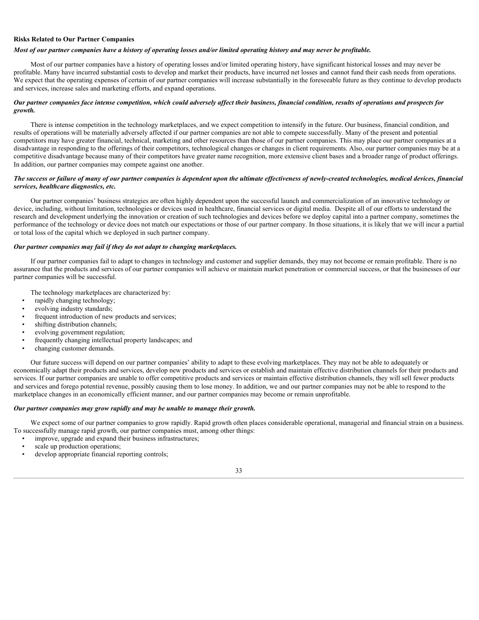## **Risks Related to Our Partner Companies**

## *Most of our partner companies have a history of operating losses and/or limited operating history and may never be profitable.*

Most of our partner companies have a history of operating losses and/or limited operating history, have significant historical losses and may never be profitable. Many have incurred substantial costs to develop and market their products, have incurred net losses and cannot fund their cash needs from operations. We expect that the operating expenses of certain of our partner companies will increase substantially in the foreseeable future as they continue to develop products and services, increase sales and marketing efforts, and expand operations.

# *Our partner companies face intense competition, which could adversely affect their business, financial condition, results of operations and prospects for growth.*

There is intense competition in the technology marketplaces, and we expect competition to intensify in the future. Our business, financial condition, and results of operations will be materially adversely affected if our partner companies are not able to compete successfully. Many of the present and potential competitors may have greater financial, technical, marketing and other resources than those of our partner companies. This may place our partner companies at a disadvantage in responding to the offerings of their competitors, technological changes or changes in client requirements. Also, our partner companies may be at a competitive disadvantage because many of their competitors have greater name recognition, more extensive client bases and a broader range of product offerings. In addition, our partner companies may compete against one another.

# *The success or failure of many of our partner companies is dependent upon the ultimate effectiveness of newly-created technologies, medical devices, financial services, healthcare diagnostics, etc.*

Our partner companies' business strategies are often highly dependent upon the successful launch and commercialization of an innovative technology or device, including, without limitation, technologies or devices used in healthcare, financial services or digital media. Despite all of our efforts to understand the research and development underlying the innovation or creation of such technologies and devices before we deploy capital into a partner company, sometimes the performance of the technology or device does not match our expectations or those of our partner company. In those situations, it is likely that we will incur a partial or total loss of the capital which we deployed in such partner company.

### *Our partner companies may fail if they do not adapt to changing marketplaces.*

If our partner companies fail to adapt to changes in technology and customer and supplier demands, they may not become or remain profitable. There is no assurance that the products and services of our partner companies will achieve or maintain market penetration or commercial success, or that the businesses of our partner companies will be successful.

The technology marketplaces are characterized by:

- rapidly changing technology;
- evolving industry standards;
- frequent introduction of new products and services;
- shifting distribution channels;
- evolving government regulation;
- frequently changing intellectual property landscapes; and
- changing customer demands.

Our future success will depend on our partner companies' ability to adapt to these evolving marketplaces. They may not be able to adequately or economically adapt their products and services, develop new products and services or establish and maintain effective distribution channels for their products and services. If our partner companies are unable to offer competitive products and services or maintain effective distribution channels, they will sell fewer products and services and forego potential revenue, possibly causing them to lose money. In addition, we and our partner companies may not be able to respond to the marketplace changes in an economically efficient manner, and our partner companies may become or remain unprofitable.

#### *Our partner companies may grow rapidly and may be unable to manage their growth.*

We expect some of our partner companies to grow rapidly. Rapid growth often places considerable operational, managerial and financial strain on a business. To successfully manage rapid growth, our partner companies must, among other things:

- improve, upgrade and expand their business infrastructures;
- scale up production operations;
- develop appropriate financial reporting controls;

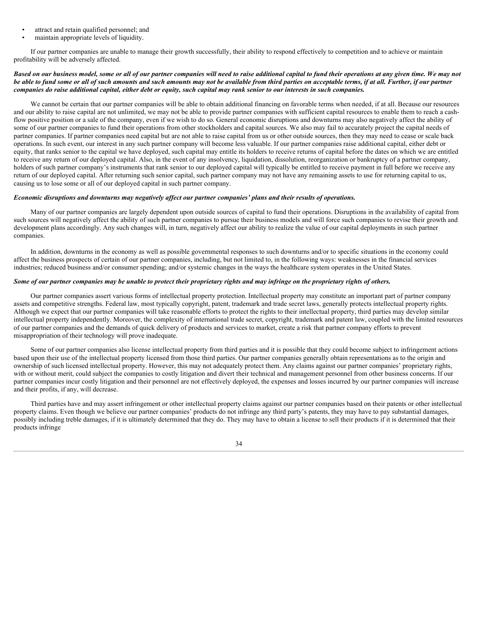- attract and retain qualified personnel; and
- maintain appropriate levels of liquidity.

If our partner companies are unable to manage their growth successfully, their ability to respond effectively to competition and to achieve or maintain profitability will be adversely affected.

## *Based on our business model, some or all of our partner companies will need to raise additional capital to fund their operations at any given time. We may not be able to fund some or all of such amounts and such amounts may not be available from third parties on acceptable terms, if at all. Further, if our partner companies do raise additional capital, either debt or equity, such capital may rank senior to our interests in such companies.*

We cannot be certain that our partner companies will be able to obtain additional financing on favorable terms when needed, if at all. Because our resources and our ability to raise capital are not unlimited, we may not be able to provide partner companies with sufficient capital resources to enable them to reach a cashflow positive position or a sale of the company, even if we wish to do so. General economic disruptions and downturns may also negatively affect the ability of some of our partner companies to fund their operations from other stockholders and capital sources. We also may fail to accurately project the capital needs of partner companies. If partner companies need capital but are not able to raise capital from us or other outside sources, then they may need to cease or scale back operations. In such event, our interest in any such partner company will become less valuable. If our partner companies raise additional capital, either debt or equity, that ranks senior to the capital we have deployed, such capital may entitle its holders to receive returns of capital before the dates on which we are entitled to receive any return of our deployed capital. Also, in the event of any insolvency, liquidation, dissolution, reorganization or bankruptcy of a partner company, holders of such partner company's instruments that rank senior to our deployed capital will typically be entitled to receive payment in full before we receive any return of our deployed capital. After returning such senior capital, such partner company may not have any remaining assets to use for returning capital to us, causing us to lose some or all of our deployed capital in such partner company.

## *Economic disruptions and downturns may negatively affect our partner companies' plans and their results of operations.*

Many of our partner companies are largely dependent upon outside sources of capital to fund their operations. Disruptions in the availability of capital from such sources will negatively affect the ability of such partner companies to pursue their business models and will force such companies to revise their growth and development plans accordingly. Any such changes will, in turn, negatively affect our ability to realize the value of our capital deployments in such partner companies.

In addition, downturns in the economy as well as possible governmental responses to such downturns and/or to specific situations in the economy could affect the business prospects of certain of our partner companies, including, but not limited to, in the following ways: weaknesses in the financial services industries; reduced business and/or consumer spending; and/or systemic changes in the ways the healthcare system operates in the United States.

#### *Some of our partner companies may be unable to protect their proprietary rights and may infringe on the proprietary rights of others.*

Our partner companies assert various forms of intellectual property protection. Intellectual property may constitute an important part of partner company assets and competitive strengths. Federal law, most typically copyright, patent, trademark and trade secret laws, generally protects intellectual property rights. Although we expect that our partner companies will take reasonable efforts to protect the rights to their intellectual property, third parties may develop similar intellectual property independently. Moreover, the complexity of international trade secret, copyright, trademark and patent law, coupled with the limited resources of our partner companies and the demands of quick delivery of products and services to market, create a risk that partner company efforts to prevent misappropriation of their technology will prove inadequate.

Some of our partner companies also license intellectual property from third parties and it is possible that they could become subject to infringement actions based upon their use of the intellectual property licensed from those third parties. Our partner companies generally obtain representations as to the origin and ownership of such licensed intellectual property. However, this may not adequately protect them. Any claims against our partner companies' proprietary rights, with or without merit, could subject the companies to costly litigation and divert their technical and management personnel from other business concerns. If our partner companies incur costly litigation and their personnel are not effectively deployed, the expenses and losses incurred by our partner companies will increase and their profits, if any, will decrease.

Third parties have and may assert infringement or other intellectual property claims against our partner companies based on their patents or other intellectual property claims. Even though we believe our partner companies' products do not infringe any third party's patents, they may have to pay substantial damages, possibly including treble damages, if it is ultimately determined that they do. They may have to obtain a license to sell their products if it is determined that their products infringe

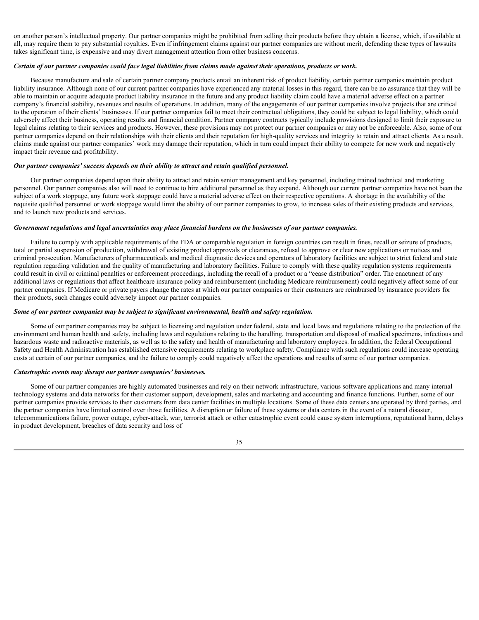on another person's intellectual property. Our partner companies might be prohibited from selling their products before they obtain a license, which, if available at all, may require them to pay substantial royalties. Even if infringement claims against our partner companies are without merit, defending these types of lawsuits takes significant time, is expensive and may divert management attention from other business concerns.

#### *Certain of our partner companies could face legal liabilities from claims made against their operations, products or work.*

Because manufacture and sale of certain partner company products entail an inherent risk of product liability, certain partner companies maintain product liability insurance. Although none of our current partner companies have experienced any material losses in this regard, there can be no assurance that they will be able to maintain or acquire adequate product liability insurance in the future and any product liability claim could have a material adverse effect on a partner company's financial stability, revenues and results of operations. In addition, many of the engagements of our partner companies involve projects that are critical to the operation of their clients' businesses. If our partner companies fail to meet their contractual obligations, they could be subject to legal liability, which could adversely affect their business, operating results and financial condition. Partner company contracts typically include provisions designed to limit their exposure to legal claims relating to their services and products. However, these provisions may not protect our partner companies or may not be enforceable. Also, some of our partner companies depend on their relationships with their clients and their reputation for high-quality services and integrity to retain and attract clients. As a result, claims made against our partner companies' work may damage their reputation, which in turn could impact their ability to compete for new work and negatively impact their revenue and profitability.

#### *Our partner companies' success depends on their ability to attract and retain qualified personnel.*

Our partner companies depend upon their ability to attract and retain senior management and key personnel, including trained technical and marketing personnel. Our partner companies also will need to continue to hire additional personnel as they expand. Although our current partner companies have not been the subject of a work stoppage, any future work stoppage could have a material adverse effect on their respective operations. A shortage in the availability of the requisite qualified personnel or work stoppage would limit the ability of our partner companies to grow, to increase sales of their existing products and services, and to launch new products and services.

## *Government regulations and legal uncertainties may place financial burdens on the businesses of our partner companies.*

Failure to comply with applicable requirements of the FDA or comparable regulation in foreign countries can result in fines, recall or seizure of products, total or partial suspension of production, withdrawal of existing product approvals or clearances, refusal to approve or clear new applications or notices and criminal prosecution. Manufacturers of pharmaceuticals and medical diagnostic devices and operators of laboratory facilities are subject to strict federal and state regulation regarding validation and the quality of manufacturing and laboratory facilities. Failure to comply with these quality regulation systems requirements could result in civil or criminal penalties or enforcement proceedings, including the recall of a product or a "cease distribution" order. The enactment of any additional laws or regulations that affect healthcare insurance policy and reimbursement (including Medicare reimbursement) could negatively affect some of our partner companies. If Medicare or private payers change the rates at which our partner companies or their customers are reimbursed by insurance providers for their products, such changes could adversely impact our partner companies.

#### *Some of our partner companies may be subject to significant environmental, health and safety regulation.*

Some of our partner companies may be subject to licensing and regulation under federal, state and local laws and regulations relating to the protection of the environment and human health and safety, including laws and regulations relating to the handling, transportation and disposal of medical specimens, infectious and hazardous waste and radioactive materials, as well as to the safety and health of manufacturing and laboratory employees. In addition, the federal Occupational Safety and Health Administration has established extensive requirements relating to workplace safety. Compliance with such regulations could increase operating costs at certain of our partner companies, and the failure to comply could negatively affect the operations and results of some of our partner companies.

#### *Catastrophic events may disrupt our partner companies' businesses.*

Some of our partner companies are highly automated businesses and rely on their network infrastructure, various software applications and many internal technology systems and data networks for their customer support, development, sales and marketing and accounting and finance functions. Further, some of our partner companies provide services to their customers from data center facilities in multiple locations. Some of these data centers are operated by third parties, and the partner companies have limited control over those facilities. A disruption or failure of these systems or data centers in the event of a natural disaster, telecommunications failure, power outage, cyber-attack, war, terrorist attack or other catastrophic event could cause system interruptions, reputational harm, delays in product development, breaches of data security and loss of

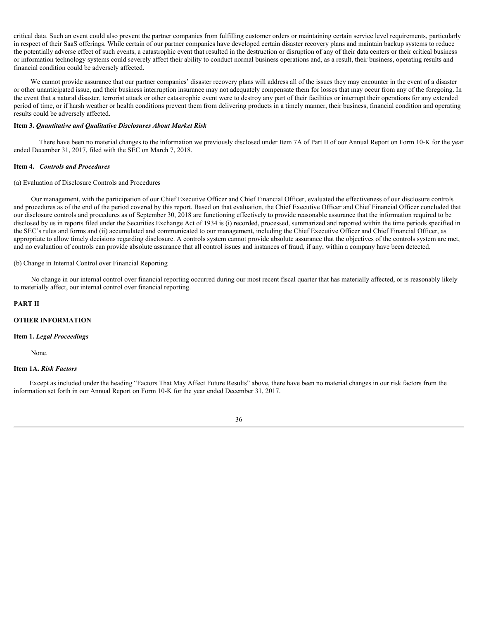critical data. Such an event could also prevent the partner companies from fulfilling customer orders or maintaining certain service level requirements, particularly in respect of their SaaS offerings. While certain of our partner companies have developed certain disaster recovery plans and maintain backup systems to reduce the potentially adverse effect of such events, a catastrophic event that resulted in the destruction or disruption of any of their data centers or their critical business or information technology systems could severely affect their ability to conduct normal business operations and, as a result, their business, operating results and financial condition could be adversely affected.

We cannot provide assurance that our partner companies' disaster recovery plans will address all of the issues they may encounter in the event of a disaster or other unanticipated issue, and their business interruption insurance may not adequately compensate them for losses that may occur from any of the foregoing. In the event that a natural disaster, terrorist attack or other catastrophic event were to destroy any part of their facilities or interrupt their operations for any extended period of time, or if harsh weather or health conditions prevent them from delivering products in a timely manner, their business, financial condition and operating results could be adversely affected.

#### <span id="page-35-0"></span>**Item 3.** *Quantitative and Qualitative Disclosures About Market Risk*

There have been no material changes to the information we previously disclosed under Item 7A of Part II of our Annual Report on Form 10-K for the year ended December 31, 2017, filed with the SEC on March 7, 2018.

#### <span id="page-35-1"></span>**Item 4.** *Controls and Procedures*

#### (a) Evaluation of Disclosure Controls and Procedures

Our management, with the participation of our Chief Executive Officer and Chief Financial Officer, evaluated the effectiveness of our disclosure controls and procedures as of the end of the period covered by this report. Based on that evaluation, the Chief Executive Officer and Chief Financial Officer concluded that our disclosure controls and procedures as of September 30, 2018 are functioning effectively to provide reasonable assurance that the information required to be disclosed by us in reports filed under the Securities Exchange Act of 1934 is (i) recorded, processed, summarized and reported within the time periods specified in the SEC's rules and forms and (ii) accumulated and communicated to our management, including the Chief Executive Officer and Chief Financial Officer, as appropriate to allow timely decisions regarding disclosure. A controls system cannot provide absolute assurance that the objectives of the controls system are met, and no evaluation of controls can provide absolute assurance that all control issues and instances of fraud, if any, within a company have been detected.

## (b) Change in Internal Control over Financial Reporting

No change in our internal control over financial reporting occurred during our most recent fiscal quarter that has materially affected, or is reasonably likely to materially affect, our internal control over financial reporting.

#### <span id="page-35-2"></span>**PART II**

## **OTHER INFORMATION**

#### **Item 1.** *Legal Proceedings*

None.

#### <span id="page-35-3"></span>**Item 1A.** *Risk Factors*

Except as included under the heading "Factors That May Affect Future Results" above, there have been no material changes in our risk factors from the information set forth in our Annual Report on Form 10-K for the year ended December 31, 2017.

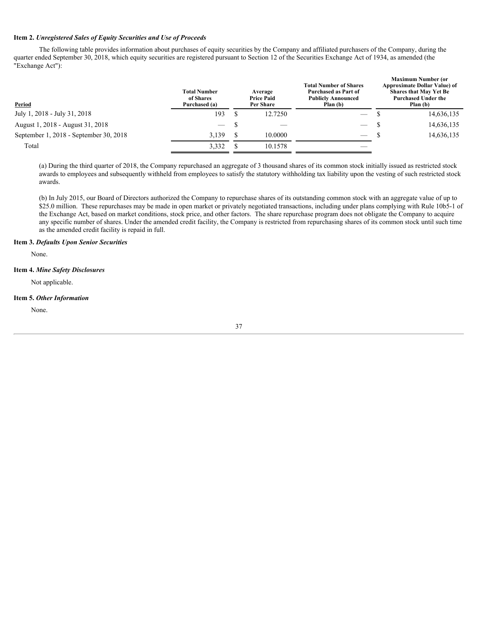# <span id="page-36-0"></span>**Item 2.** *Unregistered Sales of Equity Securities and Use of Proceeds*

The following table provides information about purchases of equity securities by the Company and affiliated purchasers of the Company, during the quarter ended September 30, 2018, which equity securities are registered pursuant to Section 12 of the Securities Exchange Act of 1934, as amended (the "Exchange Act"):

| Period                                 | <b>Total Number</b><br>of Shares<br>Purchased (a) | Average<br><b>Price Paid</b><br>Per Share |         | <b>Total Number of Shares</b><br>Purchased as Part of<br><b>Publicly Announced</b><br>Plan (b) | <b>MAXIMUM NUMBER (OF</b><br><b>Approximate Dollar Value) of</b><br><b>Shares that May Yet Be</b><br><b>Purchased Under the</b><br>Plan (b) |  |  |
|----------------------------------------|---------------------------------------------------|-------------------------------------------|---------|------------------------------------------------------------------------------------------------|---------------------------------------------------------------------------------------------------------------------------------------------|--|--|
| July 1, 2018 - July 31, 2018           | 193                                               |                                           | 12.7250 | $\overline{\phantom{m}}$                                                                       | 14,636,135                                                                                                                                  |  |  |
| August 1, 2018 - August 31, 2018       | $\qquad \qquad \overline{\qquad \qquad }$         |                                           |         | $\hspace{0.05cm}$                                                                              | 14,636,135                                                                                                                                  |  |  |
| September 1, 2018 - September 30, 2018 | 3,139                                             |                                           | 10.0000 | $\hspace{0.05cm}$                                                                              | 14,636,135                                                                                                                                  |  |  |
| Total                                  | 3,332                                             |                                           | 10.1578 |                                                                                                |                                                                                                                                             |  |  |
|                                        |                                                   |                                           |         |                                                                                                |                                                                                                                                             |  |  |

(a) During the third quarter of 2018, the Company repurchased an aggregate of 3 thousand shares of its common stock initially issued as restricted stock awards to employees and subsequently withheld from employees to satisfy the statutory withholding tax liability upon the vesting of such restricted stock awards.

**Maximum Number (or**

(b) In July 2015, our Board of Directors authorized the Company to repurchase shares of its outstanding common stock with an aggregate value of up to \$25.0 million. These repurchases may be made in open market or privately negotiated transactions, including under plans complying with Rule 10b5-1 of the Exchange Act, based on market conditions, stock price, and other factors. The share repurchase program does not obligate the Company to acquire any specific number of shares. Under the amended credit facility, the Company is restricted from repurchasing shares of its common stock until such time as the amended credit facility is repaid in full.

# <span id="page-36-1"></span>**Item 3.** *Defaults Upon Senior Securities*

None.

# <span id="page-36-2"></span>**Item 4.** *Mine Safety Disclosures*

Not applicable.

## <span id="page-36-3"></span>**Item 5.** *Other Information*

None.

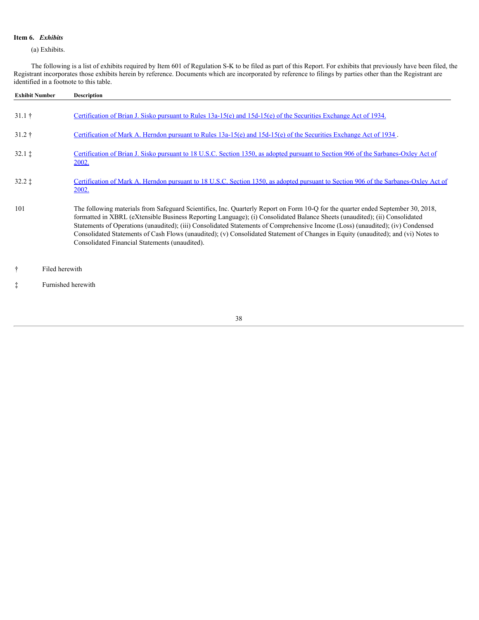# <span id="page-37-0"></span>**Item 6.** *Exhibits*

(a) Exhibits.

The following is a list of exhibits required by Item 601 of Regulation S-K to be filed as part of this Report. For exhibits that previously have been filed, the Registrant incorporates those exhibits herein by reference. Documents which are incorporated by reference to filings by parties other than the Registrant are identified in a footnote to this table.

| <b>Exhibit Number</b>   | <b>Description</b>                                                                                                                                                                                                                                                                                                                                                                                                                                                                                                                                                                      |
|-------------------------|-----------------------------------------------------------------------------------------------------------------------------------------------------------------------------------------------------------------------------------------------------------------------------------------------------------------------------------------------------------------------------------------------------------------------------------------------------------------------------------------------------------------------------------------------------------------------------------------|
| $31.1 \;{\rm t}$        | Certification of Brian J. Sisko pursuant to Rules $13a-15(e)$ and $15d-15(e)$ of the Securities Exchange Act of 1934.                                                                                                                                                                                                                                                                                                                                                                                                                                                                   |
| $31.2 \;{\rm \ddagger}$ | Certification of Mark A. Herndon pursuant to Rules 13a-15(e) and $15d-15(e)$ of the Securities Exchange Act of 1934.                                                                                                                                                                                                                                                                                                                                                                                                                                                                    |
| $32.1 \;$ $\ddagger$    | Certification of Brian J. Sisko pursuant to 18 U.S.C. Section 1350, as adopted pursuant to Section 906 of the Sarbanes-Oxley Act of<br><u>2002.</u>                                                                                                                                                                                                                                                                                                                                                                                                                                     |
| $32.2 \;$ $\ddagger$    | Certification of Mark A. Herndon pursuant to 18 U.S.C. Section 1350, as adopted pursuant to Section 906 of the Sarbanes-Oxley Act of<br><u>2002.</u>                                                                                                                                                                                                                                                                                                                                                                                                                                    |
| 101                     | The following materials from Safeguard Scientifics, Inc. Quarterly Report on Form 10-Q for the quarter ended September 30, 2018,<br>formatted in XBRL (eXtensible Business Reporting Language); (i) Consolidated Balance Sheets (unaudited); (ii) Consolidated<br>Statements of Operations (unaudited); (iii) Consolidated Statements of Comprehensive Income (Loss) (unaudited); (iv) Condensed<br>Consolidated Statements of Cash Flows (unaudited); (v) Consolidated Statement of Changes in Equity (unaudited); and (vi) Notes to<br>Consolidated Financial Statements (unaudited). |
| Ť.                      | Filed herewith                                                                                                                                                                                                                                                                                                                                                                                                                                                                                                                                                                          |

‡ Furnished herewith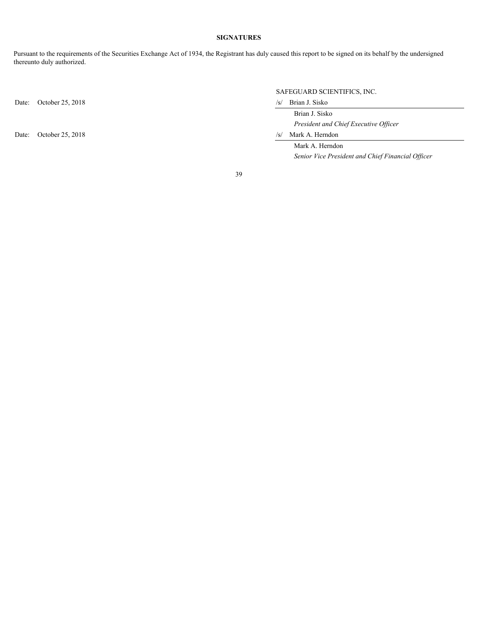# **SIGNATURES**

<span id="page-38-0"></span>Pursuant to the requirements of the Securities Exchange Act of 1934, the Registrant has duly caused this report to be signed on its behalf by the undersigned thereunto duly authorized.

Date: October 25, 2018 /s/ Brian J. Sisko

Date: October 25, 2018 /s/ Mark A. Herndon

# SAFEGUARD SCIENTIFICS, INC.

Brian J. Sisko

*President and Chief Executive Officer*

 Mark A. Herndon *Senior Vice President and Chief Financial Officer*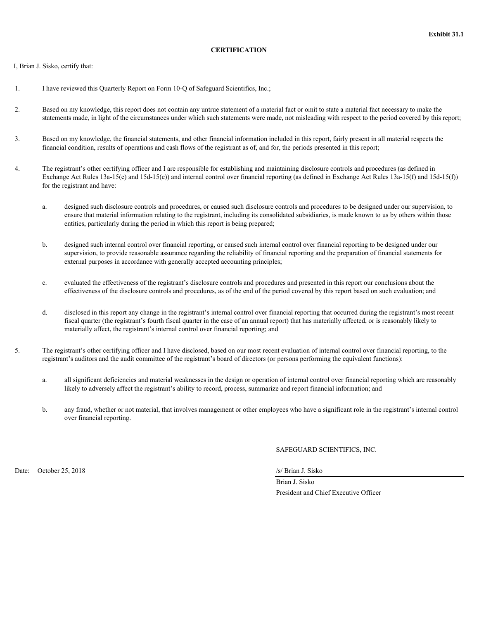# **CERTIFICATION**

<span id="page-39-0"></span>I, Brian J. Sisko, certify that:

- 1. I have reviewed this Quarterly Report on Form 10-Q of Safeguard Scientifics, Inc.;
- 2. Based on my knowledge, this report does not contain any untrue statement of a material fact or omit to state a material fact necessary to make the statements made, in light of the circumstances under which such statements were made, not misleading with respect to the period covered by this report;
- 3. Based on my knowledge, the financial statements, and other financial information included in this report, fairly present in all material respects the financial condition, results of operations and cash flows of the registrant as of, and for, the periods presented in this report;
- 4. The registrant's other certifying officer and I are responsible for establishing and maintaining disclosure controls and procedures (as defined in Exchange Act Rules  $13a-15(e)$  and  $15d-15(e)$ ) and internal control over financial reporting (as defined in Exchange Act Rules  $13a-15(f)$ ) and  $15d-15(f)$ ) for the registrant and have:
	- a. designed such disclosure controls and procedures, or caused such disclosure controls and procedures to be designed under our supervision, to ensure that material information relating to the registrant, including its consolidated subsidiaries, is made known to us by others within those entities, particularly during the period in which this report is being prepared;
	- b. designed such internal control over financial reporting, or caused such internal control over financial reporting to be designed under our supervision, to provide reasonable assurance regarding the reliability of financial reporting and the preparation of financial statements for external purposes in accordance with generally accepted accounting principles;
	- c. evaluated the effectiveness of the registrant's disclosure controls and procedures and presented in this report our conclusions about the effectiveness of the disclosure controls and procedures, as of the end of the period covered by this report based on such evaluation; and
	- d. disclosed in this report any change in the registrant's internal control over financial reporting that occurred during the registrant's most recent fiscal quarter (the registrant's fourth fiscal quarter in the case of an annual report) that has materially affected, or is reasonably likely to materially affect, the registrant's internal control over financial reporting; and
- 5. The registrant's other certifying officer and I have disclosed, based on our most recent evaluation of internal control over financial reporting, to the registrant's auditors and the audit committee of the registrant's board of directors (or persons performing the equivalent functions):
	- a. all significant deficiencies and material weaknesses in the design or operation of internal control over financial reporting which are reasonably likely to adversely affect the registrant's ability to record, process, summarize and report financial information; and
	- b. any fraud, whether or not material, that involves management or other employees who have a significant role in the registrant's internal control over financial reporting.

SAFEGUARD SCIENTIFICS, INC.

Date: October 25, 2018<br>
October 25, 2018

 Brian J. Sisko President and Chief Executive Officer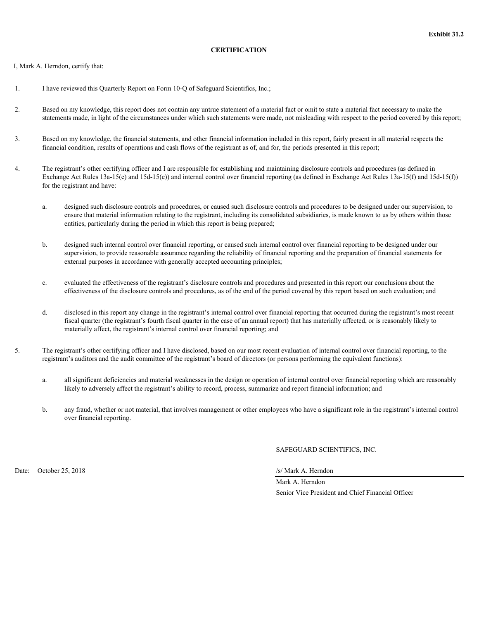# **CERTIFICATION**

<span id="page-40-0"></span>I, Mark A. Herndon, certify that:

- 1. I have reviewed this Quarterly Report on Form 10-Q of Safeguard Scientifics, Inc.;
- 2. Based on my knowledge, this report does not contain any untrue statement of a material fact or omit to state a material fact necessary to make the statements made, in light of the circumstances under which such statements were made, not misleading with respect to the period covered by this report;
- 3. Based on my knowledge, the financial statements, and other financial information included in this report, fairly present in all material respects the financial condition, results of operations and cash flows of the registrant as of, and for, the periods presented in this report;
- 4. The registrant's other certifying officer and I are responsible for establishing and maintaining disclosure controls and procedures (as defined in Exchange Act Rules  $13a-15(e)$  and  $15d-15(e)$ ) and internal control over financial reporting (as defined in Exchange Act Rules  $13a-15(f)$ ) and  $15d-15(f)$ ) for the registrant and have:
	- a. designed such disclosure controls and procedures, or caused such disclosure controls and procedures to be designed under our supervision, to ensure that material information relating to the registrant, including its consolidated subsidiaries, is made known to us by others within those entities, particularly during the period in which this report is being prepared;
	- b. designed such internal control over financial reporting, or caused such internal control over financial reporting to be designed under our supervision, to provide reasonable assurance regarding the reliability of financial reporting and the preparation of financial statements for external purposes in accordance with generally accepted accounting principles;
	- c. evaluated the effectiveness of the registrant's disclosure controls and procedures and presented in this report our conclusions about the effectiveness of the disclosure controls and procedures, as of the end of the period covered by this report based on such evaluation; and
	- d. disclosed in this report any change in the registrant's internal control over financial reporting that occurred during the registrant's most recent fiscal quarter (the registrant's fourth fiscal quarter in the case of an annual report) that has materially affected, or is reasonably likely to materially affect, the registrant's internal control over financial reporting; and
- 5. The registrant's other certifying officer and I have disclosed, based on our most recent evaluation of internal control over financial reporting, to the registrant's auditors and the audit committee of the registrant's board of directors (or persons performing the equivalent functions):
	- a. all significant deficiencies and material weaknesses in the design or operation of internal control over financial reporting which are reasonably likely to adversely affect the registrant's ability to record, process, summarize and report financial information; and
	- b. any fraud, whether or not material, that involves management or other employees who have a significant role in the registrant's internal control over financial reporting.

SAFEGUARD SCIENTIFICS, INC.

Date: October 25, 2018<br>
October 25, 2018

Mark A. Herndon Senior Vice President and Chief Financial Officer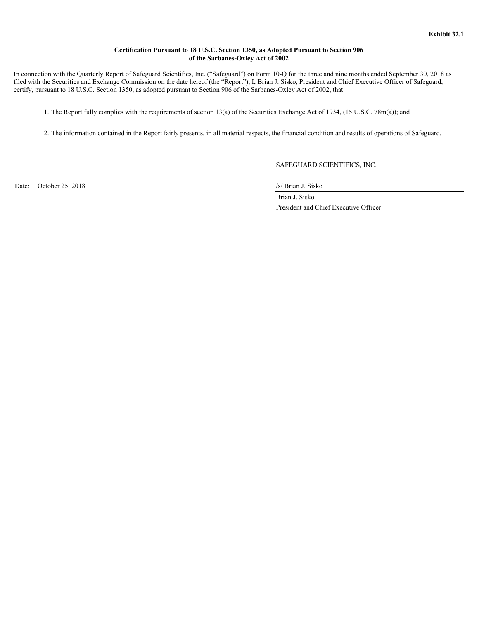# **Certification Pursuant to 18 U.S.C. Section 1350, as Adopted Pursuant to Section 906 of the Sarbanes-Oxley Act of 2002**

<span id="page-41-0"></span> In connection with the Quarterly Report of Safeguard Scientifics, Inc. ("Safeguard") on Form 10-Q for the three and nine months ended September 30, 2018 as filed with the Securities and Exchange Commission on the date hereof (the "Report"), I, Brian J. Sisko, President and Chief Executive Officer of Safeguard, certify, pursuant to 18 U.S.C. Section 1350, as adopted pursuant to Section 906 of the Sarbanes-Oxley Act of 2002, that:

1. The Report fully complies with the requirements of section 13(a) of the Securities Exchange Act of 1934, (15 U.S.C. 78m(a)); and

2. The information contained in the Report fairly presents, in all material respects, the financial condition and results of operations of Safeguard.

SAFEGUARD SCIENTIFICS, INC.

Date: October 25, 2018<br>
October 25, 2018

 Brian J. Sisko President and Chief Executive Officer